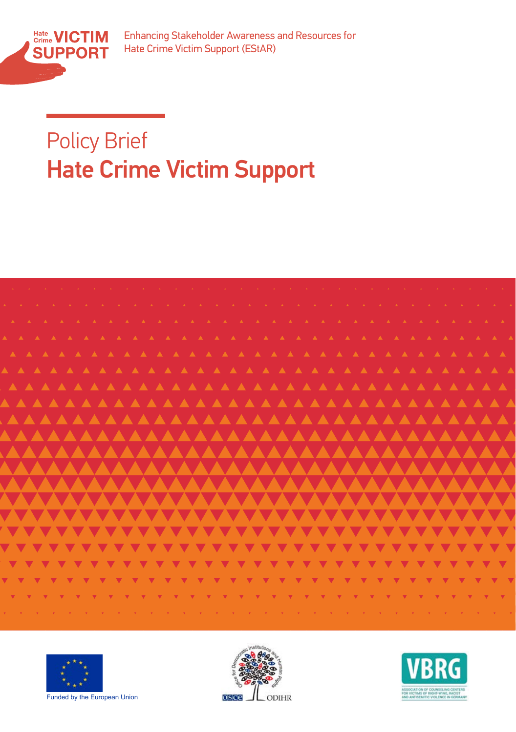

Enhancing Stakeholder Awareness and Resources for Hate Crime Victim Support (EStAR)

## Policy Brief and Resources and Resources and Resources and Resources and Resources and Resources and Resources and Resources and Resources and Resources and Resources and Resources and Resources and Resources and Resources Hate Crime Victim Support









Funded by the European Union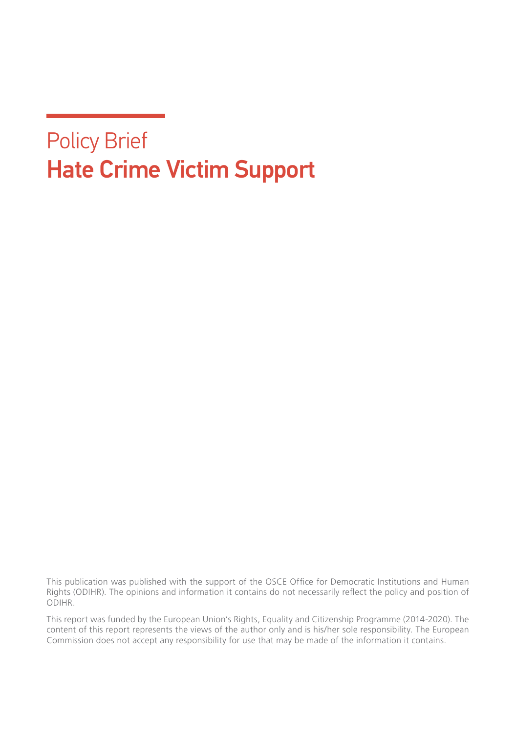## Policy Brief Hate Crime Victim Support

This publication was published with the support of the OSCE Office for Democratic Institutions and Human Rights (ODIHR). The opinions and information it contains do not necessarily reflect the policy and position of ODIHR.

This report was funded by the European Union's Rights, Equality and Citizenship Programme (2014-2020). The content of this report represents the views of the author only and is his/her sole responsibility. The European Commission does not accept any responsibility for use that may be made of the information it contains.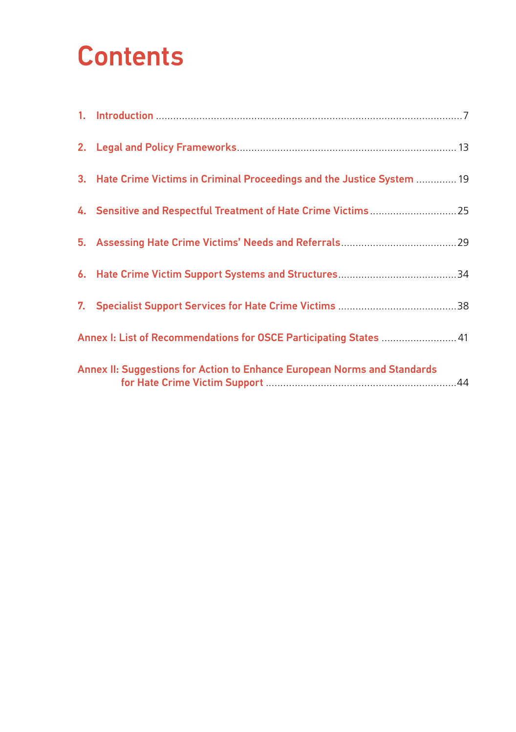# **Contents**

|                                                                    | 3. Hate Crime Victims in Criminal Proceedings and the Justice System  19 |  |
|--------------------------------------------------------------------|--------------------------------------------------------------------------|--|
|                                                                    |                                                                          |  |
|                                                                    |                                                                          |  |
|                                                                    |                                                                          |  |
|                                                                    |                                                                          |  |
| Annex I: List of Recommendations for OSCE Participating States  41 |                                                                          |  |
|                                                                    | Annex II: Suggestions for Action to Enhance European Norms and Standards |  |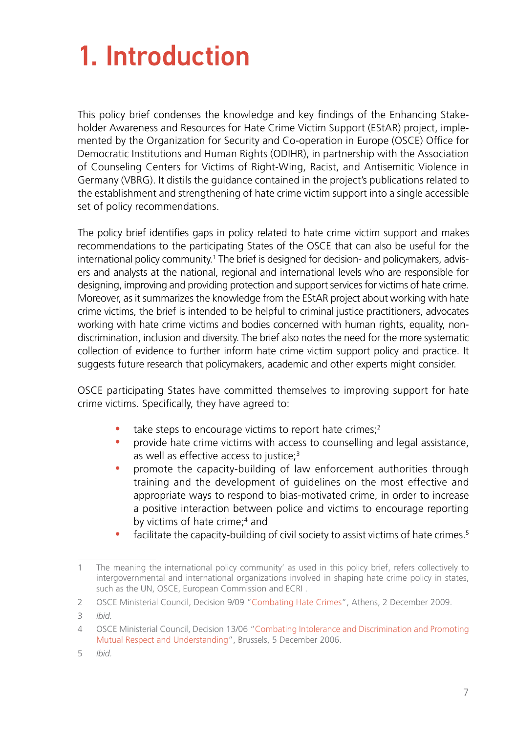# <span id="page-6-0"></span>1. Introduction

This policy brief condenses the knowledge and key findings of the Enhancing Stakeholder Awareness and Resources for Hate Crime Victim Support (EStAR) project, implemented by the Organization for Security and Co-operation in Europe (OSCE) Office for Democratic Institutions and Human Rights (ODIHR), in partnership with the Association of Counseling Centers for Victims of Right-Wing, Racist, and Antisemitic Violence in Germany (VBRG). It distils the guidance contained in the project's publications related to the establishment and strengthening of hate crime victim support into a single accessible set of policy recommendations.

The policy brief identifies gaps in policy related to hate crime victim support and makes recommendations to the participating States of the OSCE that can also be useful for the international policy community.<sup>1</sup> The brief is designed for decision- and policymakers, advisers and analysts at the national, regional and international levels who are responsible for designing, improving and providing protection and support services for victims of hate crime. Moreover, as it summarizes the knowledge from the EStAR project about working with hate crime victims, the brief is intended to be helpful to criminal justice practitioners, advocates working with hate crime victims and bodies concerned with human rights, equality, nondiscrimination, inclusion and diversity. The brief also notes the need for the more systematic collection of evidence to further inform hate crime victim support policy and practice. It suggests future research that policymakers, academic and other experts might consider.

OSCE participating States have committed themselves to improving support for hate crime victims. Specifically, they have agreed to:

- take steps to encourage victims to report hate crimes; $2$
- y provide hate crime victims with access to counselling and legal assistance, as well as effective access to justice;<sup>3</sup>
- y promote the capacity-building of law enforcement authorities through training and the development of guidelines on the most effective and appropriate ways to respond to bias-motivated crime, in order to increase a positive interaction between police and victims to encourage reporting by victims of hate crime;<sup>4</sup> and
- facilitate the capacity-building of civil society to assist victims of hate crimes.<sup>5</sup>

<sup>1</sup> The meaning the international policy community' as used in this policy brief, refers collectively to intergovernmental and international organizations involved in shaping hate crime policy in states, such as the UN, OSCE, European Commission and ECRI .

<sup>2</sup> OSCE Ministerial Council, Decision 9/09 "[Combating Hate Crimes"](https://www.osce.org/cio/40695), Athens, 2 December 2009.

<sup>3</sup> *Ibid.*

<sup>4</sup> OSCE Ministerial Council, Decision 13/06 "[Combating Intolerance and Discrimination and Promoting](https://www.osce.org/mc/23114) [Mutual Respect and Understanding](https://www.osce.org/mc/23114)", Brussels, 5 December 2006.

<sup>5</sup> *Ibid.*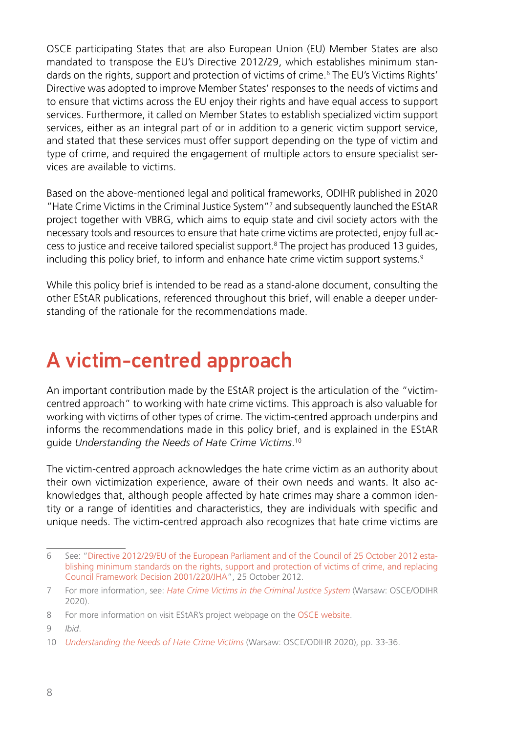OSCE participating States that are also European Union (EU) Member States are also mandated to transpose the EU's Directive 2012/29, which establishes minimum standards on the rights, support and protection of victims of crime.<sup>6</sup> The EU's Victims Rights' Directive was adopted to improve Member States' responses to the needs of victims and to ensure that victims across the EU enjoy their rights and have equal access to support services. Furthermore, it called on Member States to establish specialized victim support services, either as an integral part of or in addition to a generic victim support service, and stated that these services must offer support depending on the type of victim and type of crime, and required the engagement of multiple actors to ensure specialist services are available to victims.

Based on the above-mentioned legal and political frameworks, ODIHR published in 2020 "Hate Crime Victims in the Criminal Justice System"<sup>7</sup> and subsequently launched the EStAR project together with VBRG, which aims to equip state and civil society actors with the necessary tools and resources to ensure that hate crime victims are protected, enjoy full access to justice and receive tailored specialist support.<sup>8</sup> The project has produced 13 guides, including this policy brief, to inform and enhance hate crime victim support systems.<sup>9</sup>

While this policy brief is intended to be read as a stand-alone document, consulting the other EStAR publications, referenced throughout this brief, will enable a deeper understanding of the rationale for the recommendations made.

### A victim-centred approach

An important contribution made by the EStAR project is the articulation of the "victimcentred approach" to working with hate crime victims. This approach is also valuable for working with victims of other types of crime. The victim-centred approach underpins and informs the recommendations made in this policy brief, and is explained in the EStAR guide *Understanding the Needs of Hate Crime Victims*. 10

The victim-centred approach acknowledges the hate crime victim as an authority about their own victimization experience, aware of their own needs and wants. It also acknowledges that, although people affected by hate crimes may share a common identity or a range of identities and characteristics, they are individuals with specific and unique needs. The victim-centred approach also recognizes that hate crime victims are

<sup>6</sup> See: ["Directive 2012/29/EU of the European Parliament and of the Council of 25 October 2012 esta](https://eur-lex.europa.eu/legal-content/EN/TXT/HTML/%3Furi%3DCELEX:32012L0029%26from%3DEN)[blishing minimum standards on the rights, support and protection of victims of crime, and replacing](https://eur-lex.europa.eu/legal-content/EN/TXT/HTML/%3Furi%3DCELEX:32012L0029%26from%3DEN)  [Council Framework Decision 2001/220/JHA"](https://eur-lex.europa.eu/legal-content/EN/TXT/HTML/%3Furi%3DCELEX:32012L0029%26from%3DEN), 25 October 2012.

<sup>7</sup> For more information, see: *[Hate Crime Victims in the Criminal Justice System](https://www.osce.org/odihr/447028)* (Warsaw: OSCE/ODIHR 2020).

<sup>8</sup> For more information on visit EStAR's project webpage on the [OSCE website](https://www.osce.org/odihr/hate-crime-victim-support%20).

<sup>9</sup> *Ibid*.

<sup>10</sup> *[Understanding the Needs of Hate Crime Victims](https://www.osce.org/files/f/documents/0/5/463011.pdf)* (Warsaw: OSCE/ODIHR 2020), pp. 33-36.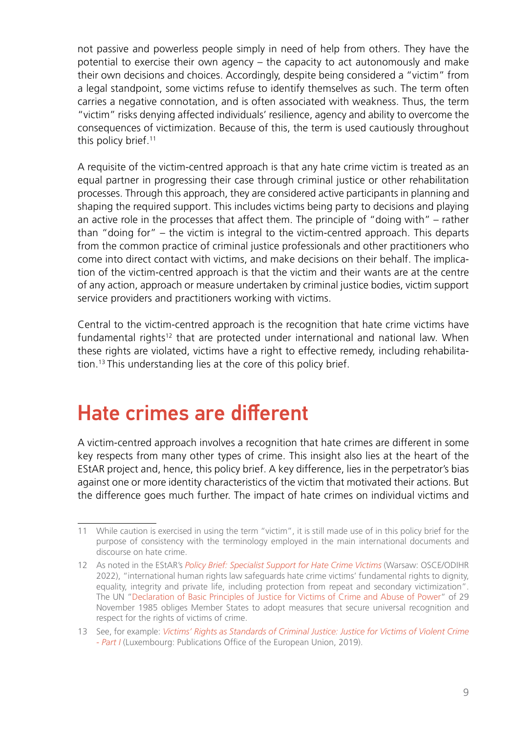not passive and powerless people simply in need of help from others. They have the potential to exercise their own agency – the capacity to act autonomously and make their own decisions and choices. Accordingly, despite being considered a "victim" from a legal standpoint, some victims refuse to identify themselves as such. The term often carries a negative connotation, and is often associated with weakness. Thus, the term "victim" risks denying affected individuals' resilience, agency and ability to overcome the consequences of victimization. Because of this, the term is used cautiously throughout this policy brief.<sup>11</sup>

A requisite of the victim-centred approach is that any hate crime victim is treated as an equal partner in progressing their case through criminal justice or other rehabilitation processes. Through this approach, they are considered active participants in planning and shaping the required support. This includes victims being party to decisions and playing an active role in the processes that affect them. The principle of "doing with" – rather than "doing for" – the victim is integral to the victim-centred approach. This departs from the common practice of criminal justice professionals and other practitioners who come into direct contact with victims, and make decisions on their behalf. The implication of the victim-centred approach is that the victim and their wants are at the centre of any action, approach or measure undertaken by criminal justice bodies, victim support service providers and practitioners working with victims.

Central to the victim-centred approach is the recognition that hate crime victims have fundamental rights<sup>12</sup> that are protected under international and national law. When these rights are violated, victims have a right to effective remedy, including rehabilitation.13 This understanding lies at the core of this policy brief.

#### Hate crimes are different

A victim-centred approach involves a recognition that hate crimes are different in some key respects from many other types of crime. This insight also lies at the heart of the EStAR project and, hence, this policy brief. A key difference, lies in the perpetrator's bias against one or more identity characteristics of the victim that motivated their actions. But the difference goes much further. The impact of hate crimes on individual victims and

<sup>11</sup> While caution is exercised in using the term "victim", it is still made use of in this policy brief for the purpose of consistency with the terminology employed in the main international documents and discourse on hate crime.

<sup>12</sup> As noted in the EStAR's *[Policy Brief: Specialist Support for Hate Crime Victims](https://www.osce.org/odihr/513127)* (Warsaw: OSCE/ODIHR 2022), "international human rights law safeguards hate crime victims' fundamental rights to dignity, equality, integrity and private life, including protection from repeat and secondary victimization". The UN "[Declaration of Basic Principles of Justice for Victims of Crime and Abuse of Power](https://www.ohchr.org/en/professionalinterest/pages/victimsofcrimeandabuseofpower.aspx)" of 29 November 1985 obliges Member States to adopt measures that secure universal recognition and respect for the rights of victims of crime.

<sup>13</sup> See, for example: *[Victims' Rights as Standards of Criminal Justice: Justice for Victims of Violent Crime](https://fra.europa.eu/en/publication/2019/victims-rights-standards-criminal-justice-justice-victims-violent-crime-part-i)  [- Part I](https://fra.europa.eu/en/publication/2019/victims-rights-standards-criminal-justice-justice-victims-violent-crime-part-i)* (Luxembourg: Publications Office of the European Union, 2019).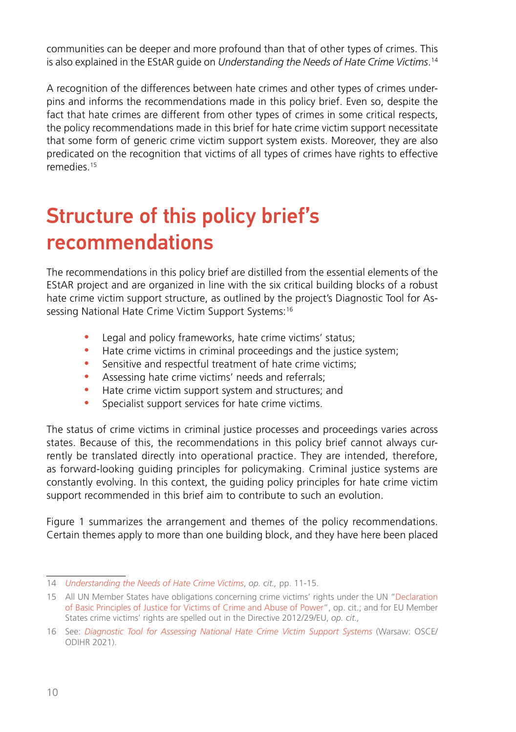communities can be deeper and more profound than that of other types of crimes. This is also explained in the EStAR guide on *Understanding the Needs of Hate Crime Victims*. 14

A recognition of the differences between hate crimes and other types of crimes underpins and informs the recommendations made in this policy brief. Even so, despite the fact that hate crimes are different from other types of crimes in some critical respects, the policy recommendations made in this brief for hate crime victim support necessitate that some form of generic crime victim support system exists. Moreover, they are also predicated on the recognition that victims of all types of crimes have rights to effective remedies.15

## Structure of this policy brief's recommendations

The recommendations in this policy brief are distilled from the essential elements of the EStAR project and are organized in line with the six critical building blocks of a robust hate crime victim support structure, as outlined by the project's Diagnostic Tool for Assessing National Hate Crime Victim Support Systems:<sup>16</sup>

- Legal and policy frameworks, hate crime victims' status;
- Hate crime victims in criminal proceedings and the justice system;
- Sensitive and respectful treatment of hate crime victims;
- Assessing hate crime victims' needs and referrals;
- Hate crime victim support system and structures; and
- Specialist support services for hate crime victims.

The status of crime victims in criminal justice processes and proceedings varies across states. Because of this, the recommendations in this policy brief cannot always currently be translated directly into operational practice. They are intended, therefore, as forward-looking guiding principles for policymaking. Criminal justice systems are constantly evolving. In this context, the guiding policy principles for hate crime victim support recommended in this brief aim to contribute to such an evolution.

Figure 1 summarizes the arrangement and themes of the policy recommendations. Certain themes apply to more than one building block, and they have here been placed

<sup>14</sup> *[Understanding the Needs of Hate Crime Victims](https://www.osce.org/files/f/documents/0/5/463011.pdf)*, *op. cit.,* pp. 11-15.

<sup>15</sup> All UN Member States have obligations concerning crime victims' rights under the UN ["Declaration](https://www.ohchr.org/en/professionalinterest/pages/victimsofcrimeandabuseofpower.aspx)  [of Basic Principles of Justice for Victims of Crime and Abuse of Power](https://www.ohchr.org/en/professionalinterest/pages/victimsofcrimeandabuseofpower.aspx)", op. cit.; and for EU Member States crime victims' rights are spelled out in the Directive 2012/29/EU, *op. cit.,*

<sup>16</sup> See: *[Diagnostic Tool for Assessing National Hate Crime Victim Support Systems](https://www.osce.org/odihr/506386)* (Warsaw: OSCE/ ODIHR 2021).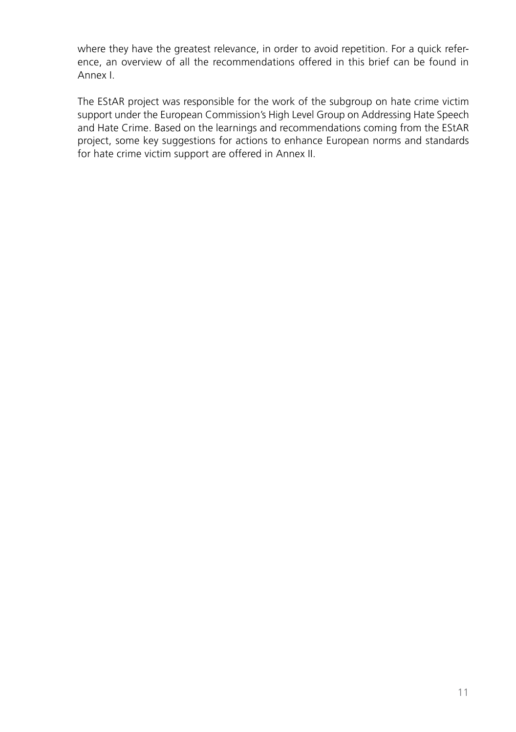where they have the greatest relevance, in order to avoid repetition. For a quick reference, an overview of all the recommendations offered in this brief can be found in Annex I.

The EStAR project was responsible for the work of the subgroup on hate crime victim support under the European Commission's High Level Group on Addressing Hate Speech and Hate Crime. Based on the learnings and recommendations coming from the EStAR project, some key suggestions for actions to enhance European norms and standards for hate crime victim support are offered in Annex II.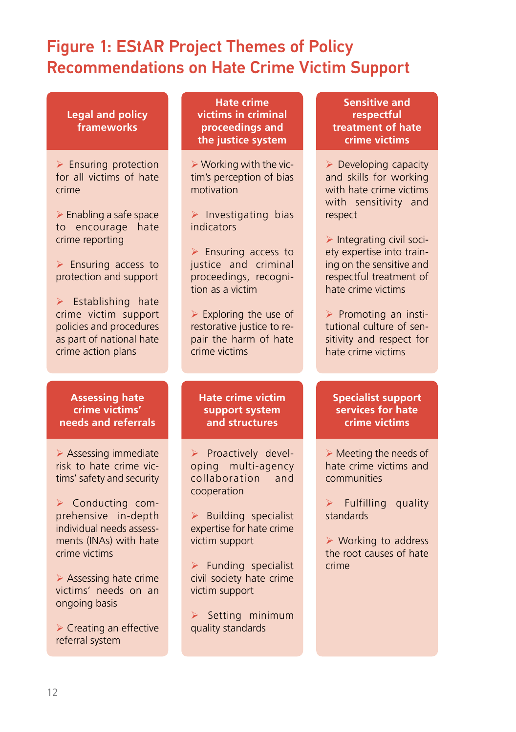#### Figure 1: EStAR Project Themes of Policy Recommendations on Hate Crime Victim Support

| <b>Legal and policy</b><br>frameworks                                                                                                                                                                                                                                                                                                                      | <b>Hate crime</b><br>victims in criminal<br>proceedings and<br>the justice system                                                                                                                                                                                                                                                    | <b>Sensitive and</b><br>respectful<br>treatment of hate<br>crime victims                                                                                                                                                                                                                                                                                                   |
|------------------------------------------------------------------------------------------------------------------------------------------------------------------------------------------------------------------------------------------------------------------------------------------------------------------------------------------------------------|--------------------------------------------------------------------------------------------------------------------------------------------------------------------------------------------------------------------------------------------------------------------------------------------------------------------------------------|----------------------------------------------------------------------------------------------------------------------------------------------------------------------------------------------------------------------------------------------------------------------------------------------------------------------------------------------------------------------------|
| $\triangleright$ Ensuring protection<br>for all victims of hate<br>crime<br>> Enabling a safe space<br>to encourage<br>hate<br>crime reporting<br>$\triangleright$ Ensuring access to<br>protection and support<br>$\triangleright$ Establishing hate<br>crime victim support<br>policies and procedures<br>as part of national hate<br>crime action plans | > Working with the vic-<br>tim's perception of bias<br>motivation<br>> Investigating bias<br>indicators<br>$\triangleright$ Ensuring access to<br>justice and criminal<br>proceedings, recogni-<br>tion as a victim<br>$\triangleright$ Exploring the use of<br>restorative justice to re-<br>pair the harm of hate<br>crime victims | $\triangleright$ Developing capacity<br>and skills for working<br>with hate crime victims<br>with sensitivity and<br>respect<br>> Integrating civil soci-<br>ety expertise into train-<br>ing on the sensitive and<br>respectful treatment of<br>hate crime victims<br>> Promoting an insti-<br>tutional culture of sen-<br>sitivity and respect for<br>hate crime victims |
|                                                                                                                                                                                                                                                                                                                                                            |                                                                                                                                                                                                                                                                                                                                      |                                                                                                                                                                                                                                                                                                                                                                            |
| <b>Assessing hate</b><br>crime victims'<br>needs and referrals                                                                                                                                                                                                                                                                                             | <b>Hate crime victim</b><br>support system<br>and structures                                                                                                                                                                                                                                                                         | <b>Specialist support</b><br>services for hate<br>crime victims                                                                                                                                                                                                                                                                                                            |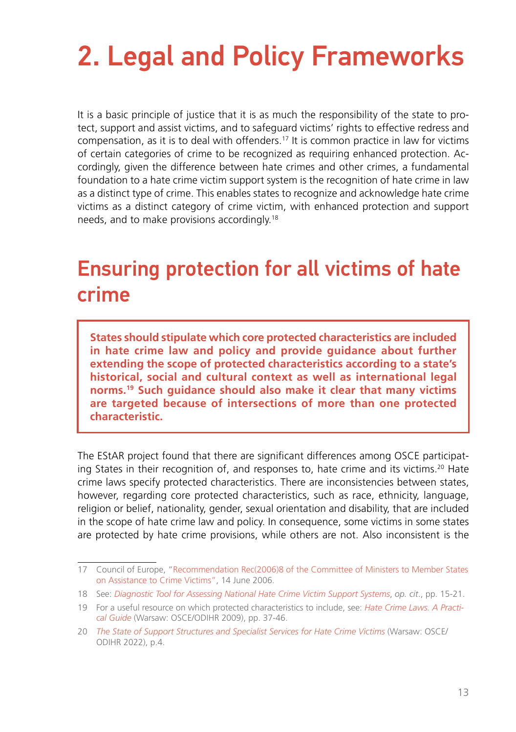# <span id="page-12-0"></span>2. Legal and Policy Frameworks

It is a basic principle of justice that it is as much the responsibility of the state to protect, support and assist victims, and to safeguard victims' rights to effective redress and compensation, as it is to deal with offenders.17 It is common practice in law for victims of certain categories of crime to be recognized as requiring enhanced protection. Accordingly, given the difference between hate crimes and other crimes, a fundamental foundation to a hate crime victim support system is the recognition of hate crime in law as a distinct type of crime. This enables states to recognize and acknowledge hate crime victims as a distinct category of crime victim, with enhanced protection and support needs, and to make provisions accordingly.18

### Ensuring protection for all victims of hate crime

**States should stipulate which core protected characteristics are included in hate crime law and policy and provide guidance about further extending the scope of protected characteristics according to a state's historical, social and cultural context as well as international legal norms.19 Such guidance should also make it clear that many victims are targeted because of intersections of more than one protected characteristic.** 

The EStAR project found that there are significant differences among OSCE participating States in their recognition of, and responses to, hate crime and its victims.20 Hate crime laws specify protected characteristics. There are inconsistencies between states, however, regarding core protected characteristics, such as race, ethnicity, language, religion or belief, nationality, gender, sexual orientation and disability, that are included in the scope of hate crime law and policy. In consequence, some victims in some states are protected by hate crime provisions, while others are not. Also inconsistent is the

<sup>17</sup> Council of Europe, "[Recommendation Rec\(2006\)8 of the Committee of Ministers to Member States](https://search.coe.int/cm/Pages/result_details.aspx?ObjectID=09000016805afa5c)  [on Assistance to Crime Victims"](https://search.coe.int/cm/Pages/result_details.aspx?ObjectID=09000016805afa5c), 14 June 2006.

<sup>18</sup> See: *[Diagnostic Tool for Assessing National Hate Crime Victim Support Systems](https://www.osce.org/odihr/506386)*, *op. cit*., pp. 15-21.

<sup>19</sup> For a useful resource on which protected characteristics to include, see: *[Hate Crime Laws. A Practi](https://www.osce.org/odihr/36426)[cal Guide](https://www.osce.org/odihr/36426)* (Warsaw: OSCE/ODIHR 2009), pp. 37-46.

<sup>20</sup> *[The State of Support Structures and Specialist Services for Hate Crime Victims](https://www.osce.org/files/f/documents/4/3/467916.pdf)* (Warsaw: OSCE/ ODIHR 2022), p.4.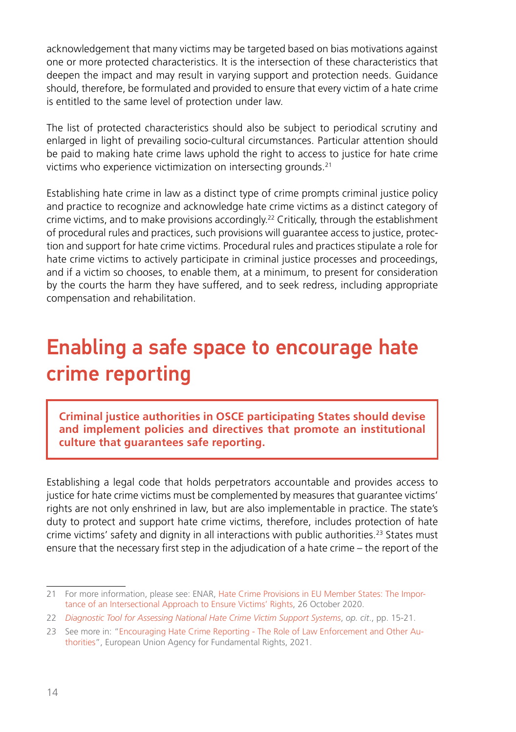acknowledgement that many victims may be targeted based on bias motivations against one or more protected characteristics. It is the intersection of these characteristics that deepen the impact and may result in varying support and protection needs. Guidance should, therefore, be formulated and provided to ensure that every victim of a hate crime is entitled to the same level of protection under law.

The list of protected characteristics should also be subject to periodical scrutiny and enlarged in light of prevailing socio-cultural circumstances. Particular attention should be paid to making hate crime laws uphold the right to access to justice for hate crime victims who experience victimization on intersecting grounds.<sup>21</sup>

Establishing hate crime in law as a distinct type of crime prompts criminal justice policy and practice to recognize and acknowledge hate crime victims as a distinct category of crime victims, and to make provisions accordingly.<sup>22</sup> Critically, through the establishment of procedural rules and practices, such provisions will guarantee access to justice, protection and support for hate crime victims. Procedural rules and practices stipulate a role for hate crime victims to actively participate in criminal justice processes and proceedings, and if a victim so chooses, to enable them, at a minimum, to present for consideration by the courts the harm they have suffered, and to seek redress, including appropriate compensation and rehabilitation.

### Enabling a safe space to encourage hate crime reporting

**Criminal justice authorities in OSCE participating States should devise and implement policies and directives that promote an institutional culture that guarantees safe reporting.** 

Establishing a legal code that holds perpetrators accountable and provides access to justice for hate crime victims must be complemented by measures that guarantee victims' rights are not only enshrined in law, but are also implementable in practice. The state's duty to protect and support hate crime victims, therefore, includes protection of hate crime victims' safety and dignity in all interactions with public authorities.<sup>23</sup> States must ensure that the necessary first step in the adjudication of a hate crime – the report of the

<sup>21</sup> For more information, please see: ENAR, [Hate Crime Provisions in EU Member States: The Impor](https://www.enar-eu.org/Hate-crime-legislation-an-intersectional-approach-to-ensure-victims-rights/)[tance of an Intersectional Approach to Ensure Victims' Rights](https://www.enar-eu.org/Hate-crime-legislation-an-intersectional-approach-to-ensure-victims-rights/), 26 October 2020.

<sup>22</sup> *[Diagnostic Tool for Assessing National Hate Crime Victim Support Systems](https://www.osce.org/odihr/506386)*, *op. cit*., pp. 15-21.

<sup>23</sup> See more in: "[Encouraging Hate Crime Reporting - The Role of Law Enforcement and Other Au](https://fra.europa.eu/sites/default/files/fra_uploads/fra-2021-hate-crime-reporting_en.pdf)[thorities](https://fra.europa.eu/sites/default/files/fra_uploads/fra-2021-hate-crime-reporting_en.pdf)", European Union Agency for Fundamental Rights, 2021.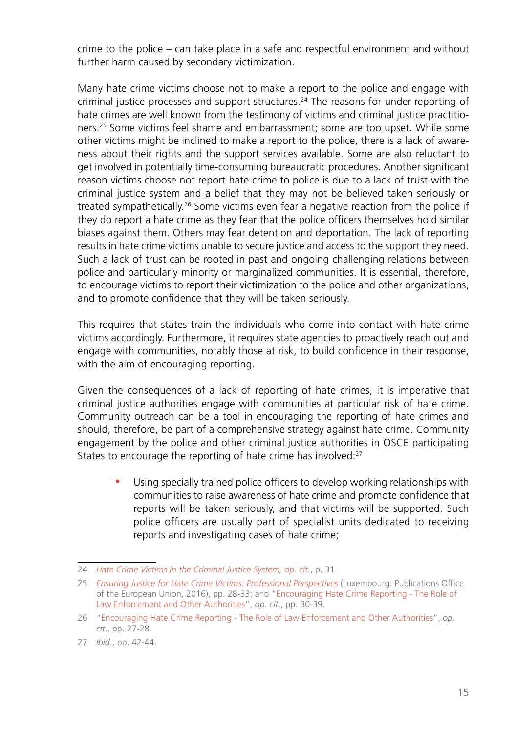crime to the police – can take place in a safe and respectful environment and without further harm caused by secondary victimization.

Many hate crime victims choose not to make a report to the police and engage with criminal justice processes and support structures.24 The reasons for under-reporting of hate crimes are well known from the testimony of victims and criminal justice practitioners.25 Some victims feel shame and embarrassment; some are too upset. While some other victims might be inclined to make a report to the police, there is a lack of awareness about their rights and the support services available. Some are also reluctant to get involved in potentially time-consuming bureaucratic procedures. Another significant reason victims choose not report hate crime to police is due to a lack of trust with the criminal justice system and a belief that they may not be believed taken seriously or treated sympathetically.<sup>26</sup> Some victims even fear a negative reaction from the police if they do report a hate crime as they fear that the police officers themselves hold similar biases against them. Others may fear detention and deportation. The lack of reporting results in hate crime victims unable to secure justice and access to the support they need. Such a lack of trust can be rooted in past and ongoing challenging relations between police and particularly minority or marginalized communities. It is essential, therefore, to encourage victims to report their victimization to the police and other organizations, and to promote confidence that they will be taken seriously.

This requires that states train the individuals who come into contact with hate crime victims accordingly. Furthermore, it requires state agencies to proactively reach out and engage with communities, notably those at risk, to build confidence in their response, with the aim of encouraging reporting.

Given the consequences of a lack of reporting of hate crimes, it is imperative that criminal justice authorities engage with communities at particular risk of hate crime. Community outreach can be a tool in encouraging the reporting of hate crimes and should, therefore, be part of a comprehensive strategy against hate crime. Community engagement by the police and other criminal justice authorities in OSCE participating States to encourage the reporting of hate crime has involved:<sup>27</sup>

Using specially trained police officers to develop working relationships with communities to raise awareness of hate crime and promote confidence that reports will be taken seriously, and that victims will be supported. Such police officers are usually part of specialist units dedicated to receiving reports and investigating cases of hate crime;

<sup>24</sup> *[Hate Crime Victims in the Criminal Justice System](https://www.osce.org/odihr/447028), op. cit.*, p. 31.

<sup>25</sup> *[Ensuring Justice for Hate Crime Victims: Professional Perspectives](https://fra.europa.eu/en/publication/2016/ensuring-justice-hate-crime-victims-professional-perspectives)* (Luxembourg: Publications Office of the European Union, 2016), pp. 28-33; and ["Encouraging Hate Crime Reporting - The Role of](https://fra.europa.eu/sites/default/files/fra_uploads/fra-2021-hate-crime-reporting_en.pdf)  [Law Enforcement and Other Authorities"](https://fra.europa.eu/sites/default/files/fra_uploads/fra-2021-hate-crime-reporting_en.pdf), *op. cit*., pp. 30-39.

<sup>26</sup> ["Encouraging Hate Crime Reporting - The Role of Law Enforcement and Other Authorities](https://fra.europa.eu/sites/default/files/fra_uploads/fra-2021-hate-crime-reporting_en.pdf)", *op. cit*., pp. 27-28.

<sup>27</sup> *Ibid*., pp. 42-44.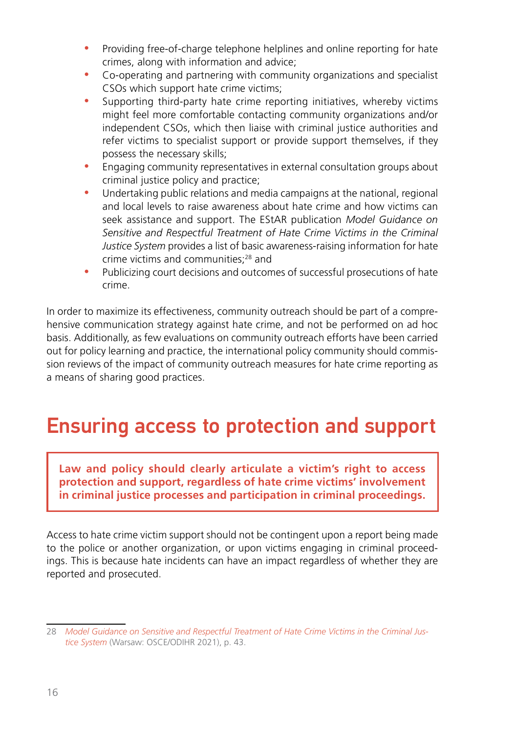- Providing free-of-charge telephone helplines and online reporting for hate crimes, along with information and advice;
- Co-operating and partnering with community organizations and specialist CSOs which support hate crime victims;
- Supporting third-party hate crime reporting initiatives, whereby victims might feel more comfortable contacting community organizations and/or independent CSOs, which then liaise with criminal justice authorities and refer victims to specialist support or provide support themselves, if they possess the necessary skills;
- Engaging community representatives in external consultation groups about criminal justice policy and practice;
- Undertaking public relations and media campaigns at the national, regional and local levels to raise awareness about hate crime and how victims can seek assistance and support. The EStAR publication *Model Guidance on Sensitive and Respectful Treatment of Hate Crime Victims in the Criminal Justice System* provides a list of basic awareness-raising information for hate crime victims and communities;28 and
- Publicizing court decisions and outcomes of successful prosecutions of hate crime.

In order to maximize its effectiveness, community outreach should be part of a comprehensive communication strategy against hate crime, and not be performed on ad hoc basis. Additionally, as few evaluations on community outreach efforts have been carried out for policy learning and practice, the international policy community should commission reviews of the impact of community outreach measures for hate crime reporting as a means of sharing good practices.

### Ensuring access to protection and support

**Law and policy should clearly articulate a victim's right to access protection and support, regardless of hate crime victims' involvement in criminal justice processes and participation in criminal proceedings.**

Access to hate crime victim support should not be contingent upon a report being made to the police or another organization, or upon victims engaging in criminal proceedings. This is because hate incidents can have an impact regardless of whether they are reported and prosecuted.

<sup>28</sup> *[Model Guidance on Sensitive and Respectful Treatment of Hate Crime Victims in the Criminal Jus](https://www.osce.org/odihr/499513)[tice System](https://www.osce.org/odihr/499513)* (Warsaw: OSCE/ODIHR 2021), p. 43.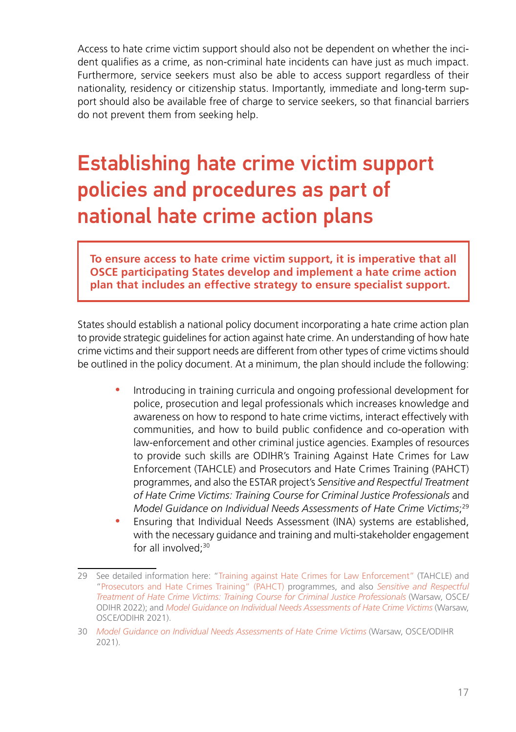Access to hate crime victim support should also not be dependent on whether the incident qualifies as a crime, as non-criminal hate incidents can have just as much impact. Furthermore, service seekers must also be able to access support regardless of their nationality, residency or citizenship status. Importantly, immediate and long-term support should also be available free of charge to service seekers, so that financial barriers do not prevent them from seeking help.

## Establishing hate crime victim support policies and procedures as part of national hate crime action plans

**To ensure access to hate crime victim support, it is imperative that all OSCE participating States develop and implement a hate crime action plan that includes an effective strategy to ensure specialist support.**

States should establish a national policy document incorporating a hate crime action plan to provide strategic guidelines for action against hate crime. An understanding of how hate crime victims and their support needs are different from other types of crime victims should be outlined in the policy document. At a minimum, the plan should include the following:

- Introducing in training curricula and ongoing professional development for police, prosecution and legal professionals which increases knowledge and awareness on how to respond to hate crime victims, interact effectively with communities, and how to build public confidence and co-operation with law-enforcement and other criminal justice agencies. Examples of resources to provide such skills are ODIHR's Training Against Hate Crimes for Law Enforcement (TAHCLE) and Prosecutors and Hate Crimes Training (PAHCT) programmes, and also the ESTAR project's *Sensitive and Respectful Treatment of Hate Crime Victims: Training Course for Criminal Justice Professionals* and *Model Guidance on Individual Needs Assessments of Hate Crime Victims*; 29
- Ensuring that Individual Needs Assessment (INA) systems are established, with the necessary guidance and training and multi-stakeholder engagement for all involved:<sup>30</sup>

<sup>29</sup> See detailed information here: "[Training against Hate Crimes for Law Enforcement"](https://www.osce.org/odihr/tahcle) (TAHCLE) and ["Prosecutors and Hate Crimes Training" \(PAHCT\)](https://www.osce.org/odihr/pahct) programmes, and also *[Sensitive and Respectful](https://www.osce.org/odihr/512437) [Treatment of Hate Crime Victims: Training Course for Criminal Justice Professionals](https://www.osce.org/odihr/512437)* (Warsaw, OSCE/ ODIHR 2022); and *[Model Guidance on Individual Needs Assessments of Hate Crime Victims](https://www.osce.org/odihr/489782)* (Warsaw, OSCE/ODIHR 2021).

<sup>30</sup> *[Model Guidance on Individual Needs Assessments of Hate Crime Victims](https://www.osce.org/odihr/489782)* (Warsaw, OSCE/ODIHR 2021).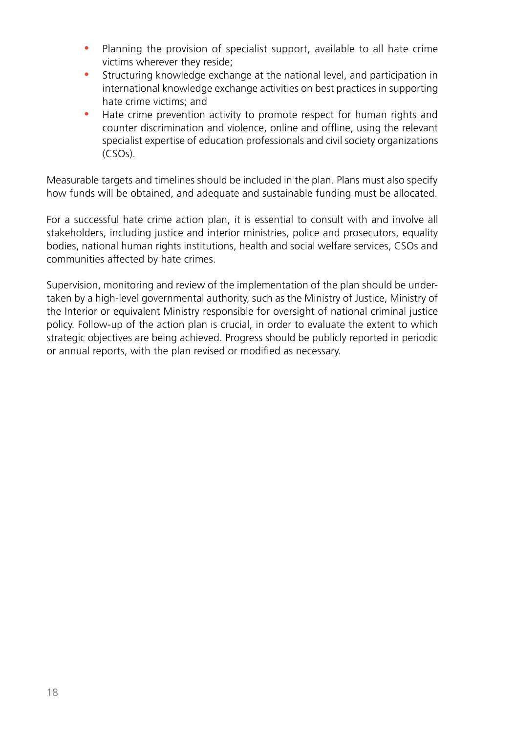- Planning the provision of specialist support, available to all hate crime victims wherever they reside;
- Structuring knowledge exchange at the national level, and participation in international knowledge exchange activities on best practices in supporting hate crime victims; and
- Hate crime prevention activity to promote respect for human rights and counter discrimination and violence, online and offline, using the relevant specialist expertise of education professionals and civil society organizations (CSOs).

Measurable targets and timelines should be included in the plan. Plans must also specify how funds will be obtained, and adequate and sustainable funding must be allocated.

For a successful hate crime action plan, it is essential to consult with and involve all stakeholders, including justice and interior ministries, police and prosecutors, equality bodies, national human rights institutions, health and social welfare services, CSOs and communities affected by hate crimes.

Supervision, monitoring and review of the implementation of the plan should be undertaken by a high-level governmental authority, such as the Ministry of Justice, Ministry of the Interior or equivalent Ministry responsible for oversight of national criminal justice policy. Follow-up of the action plan is crucial, in order to evaluate the extent to which strategic objectives are being achieved. Progress should be publicly reported in periodic or annual reports, with the plan revised or modified as necessary.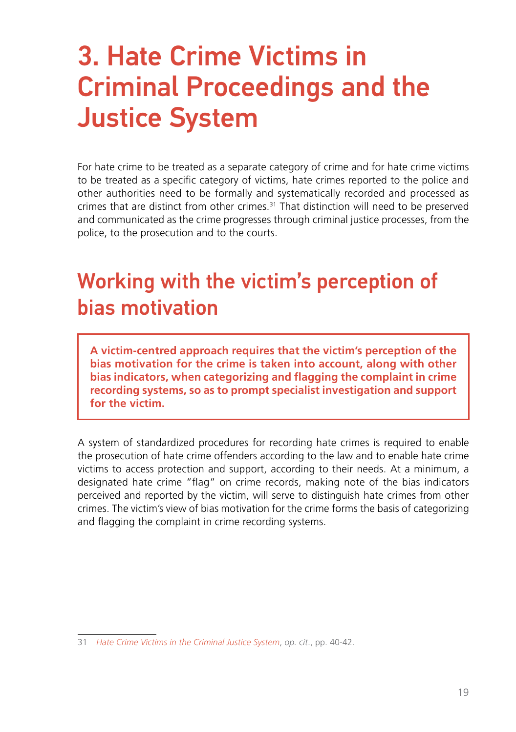# <span id="page-18-0"></span>3. Hate Crime Victims in Criminal Proceedings and the Justice System

For hate crime to be treated as a separate category of crime and for hate crime victims to be treated as a specific category of victims, hate crimes reported to the police and other authorities need to be formally and systematically recorded and processed as crimes that are distinct from other crimes.31 That distinction will need to be preserved and communicated as the crime progresses through criminal justice processes, from the police, to the prosecution and to the courts.

### Working with the victim's perception of bias motivation

**A victim-centred approach requires that the victim's perception of the bias motivation for the crime is taken into account, along with other bias indicators, when categorizing and flagging the complaint in crime recording systems, so as to prompt specialist investigation and support for the victim.** 

A system of standardized procedures for recording hate crimes is required to enable the prosecution of hate crime offenders according to the law and to enable hate crime victims to access protection and support, according to their needs. At a minimum, a designated hate crime "flag" on crime records, making note of the bias indicators perceived and reported by the victim, will serve to distinguish hate crimes from other crimes. The victim's view of bias motivation for the crime forms the basis of categorizing and flagging the complaint in crime recording systems.

<sup>31</sup> *[Hate Crime Victims in the Criminal Justice System](https://www.osce.org/odihr/447028)*, *op. cit*., pp. 40-42.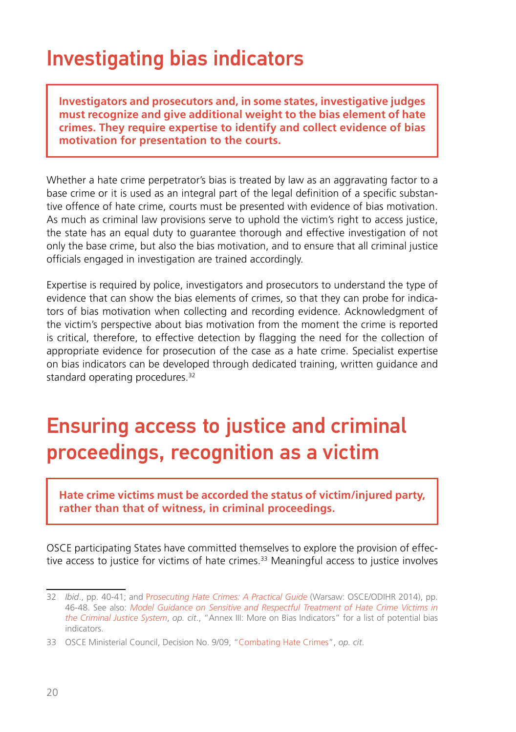### Investigating bias indicators

**Investigators and prosecutors and, in some states, investigative judges must recognize and give additional weight to the bias element of hate crimes. They require expertise to identify and collect evidence of bias motivation for presentation to the courts.**

Whether a hate crime perpetrator's bias is treated by law as an aggravating factor to a base crime or it is used as an integral part of the legal definition of a specific substantive offence of hate crime, courts must be presented with evidence of bias motivation. As much as criminal law provisions serve to uphold the victim's right to access justice, the state has an equal duty to guarantee thorough and effective investigation of not only the base crime, but also the bias motivation, and to ensure that all criminal justice officials engaged in investigation are trained accordingly.

Expertise is required by police, investigators and prosecutors to understand the type of evidence that can show the bias elements of crimes, so that they can probe for indicators of bias motivation when collecting and recording evidence. Acknowledgment of the victim's perspective about bias motivation from the moment the crime is reported is critical, therefore, to effective detection by flagging the need for the collection of appropriate evidence for prosecution of the case as a hate crime. Specialist expertise on bias indicators can be developed through dedicated training, written guidance and standard operating procedures.<sup>32</sup>

### Ensuring access to justice and criminal proceedings, recognition as a victim

**Hate crime victims must be accorded the status of victim/injured party, rather than that of witness, in criminal proceedings.**

OSCE participating States have committed themselves to explore the provision of effective access to justice for victims of hate crimes.<sup>33</sup> Meaningful access to justice involves

<sup>32</sup> *Ibid*., pp. 40-41; and P*[rosecuting Hate Crimes: A Practical Guide](https://www.osce.org/odihr/prosecutorsguide)* (Warsaw: OSCE/ODIHR 2014), pp. 46-48. See also: *[Model Guidance on Sensitive and Respectful Treatment of Hate Crime Victims in](https://www.osce.org/odihr/499513)  [the Criminal Justice System](https://www.osce.org/odihr/499513)*, *op. cit*., "Annex III: More on Bias Indicators" for a list of potential bias indicators.

<sup>33</sup> OSCE Ministerial Council, Decision No. 9/09, "[Combating Hate Crimes](https://www.osce.org/cio/40695)", *op. cit*.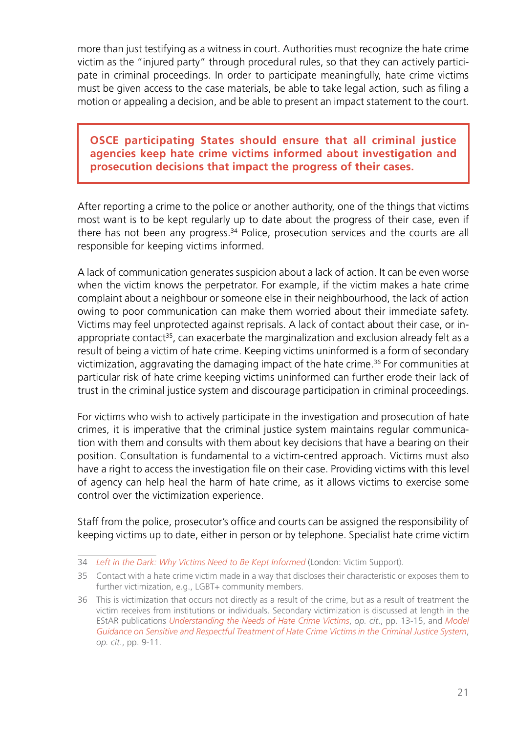more than just testifying as a witness in court. Authorities must recognize the hate crime victim as the "injured party" through procedural rules, so that they can actively participate in criminal proceedings. In order to participate meaningfully, hate crime victims must be given access to the case materials, be able to take legal action, such as filing a motion or appealing a decision, and be able to present an impact statement to the court.

**OSCE participating States should ensure that all criminal justice agencies keep hate crime victims informed about investigation and prosecution decisions that impact the progress of their cases.**

After reporting a crime to the police or another authority, one of the things that victims most want is to be kept regularly up to date about the progress of their case, even if there has not been any progress.34 Police, prosecution services and the courts are all responsible for keeping victims informed.

A lack of communication generates suspicion about a lack of action. It can be even worse when the victim knows the perpetrator. For example, if the victim makes a hate crime complaint about a neighbour or someone else in their neighbourhood, the lack of action owing to poor communication can make them worried about their immediate safety. Victims may feel unprotected against reprisals. A lack of contact about their case, or inappropriate contact<sup>35</sup>, can exacerbate the marginalization and exclusion already felt as a result of being a victim of hate crime. Keeping victims uninformed is a form of secondary victimization, aggravating the damaging impact of the hate crime.36 For communities at particular risk of hate crime keeping victims uninformed can further erode their lack of trust in the criminal justice system and discourage participation in criminal proceedings.

For victims who wish to actively participate in the investigation and prosecution of hate crimes, it is imperative that the criminal justice system maintains regular communication with them and consults with them about key decisions that have a bearing on their position. Consultation is fundamental to a victim-centred approach. Victims must also have a right to access the investigation file on their case. Providing victims with this level of agency can help heal the harm of hate crime, as it allows victims to exercise some control over the victimization experience.

Staff from the police, prosecutor's office and courts can be assigned the responsibility of keeping victims up to date, either in person or by telephone. Specialist hate crime victim

<sup>34</sup> *[Left in the Dark: Why Victims Need to Be Kept Informed](https://www.victimsupport.org.uk/wp-content/uploads/documents/files/Left%20in%20the%20dark%20-%20why%20victims%20of%20crime%20need%20to%20be%20kept%20informed.pdf)* (London: Victim Support).

<sup>35</sup> Contact with a hate crime victim made in a way that discloses their characteristic or exposes them to further victimization, e.g., LGBT+ community members.

<sup>36</sup> This is victimization that occurs not directly as a result of the crime, but as a result of treatment the victim receives from institutions or individuals. Secondary victimization is discussed at length in the EStAR publications *[Understanding the Needs of Hate Crime Victims](https://www.osce.org/files/f/documents/0/5/463011.pdf)*, *op. cit*., pp. 13-15, and *[Model](https://www.osce.org/odihr/499513) [Guidance on Sensitive and Respectful Treatment of Hate Crime Victims in the Criminal Justice System](https://www.osce.org/odihr/499513)*, *op. cit*., pp. 9-11.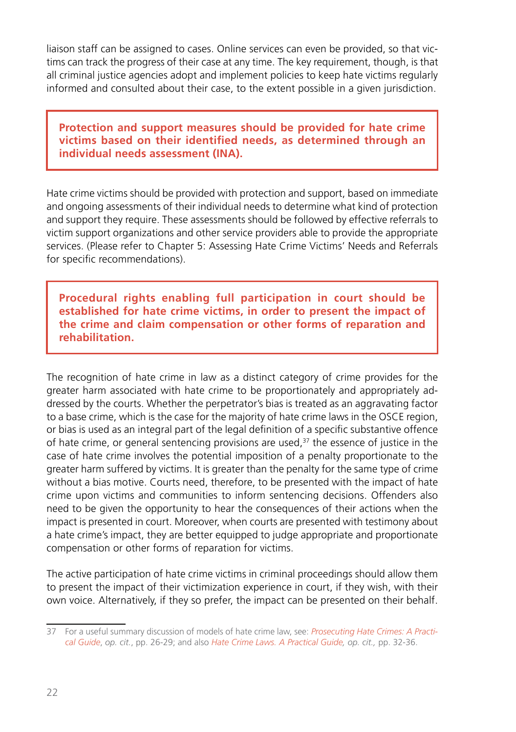liaison staff can be assigned to cases. Online services can even be provided, so that victims can track the progress of their case at any time. The key requirement, though, is that all criminal justice agencies adopt and implement policies to keep hate victims regularly informed and consulted about their case, to the extent possible in a given jurisdiction.

**Protection and support measures should be provided for hate crime victims based on their identified needs, as determined through an individual needs assessment (INA).**

Hate crime victims should be provided with protection and support, based on immediate and ongoing assessments of their individual needs to determine what kind of protection and support they require. These assessments should be followed by effective referrals to victim support organizations and other service providers able to provide the appropriate services. (Please refer to Chapter 5: Assessing Hate Crime Victims' Needs and Referrals for specific recommendations).

**Procedural rights enabling full participation in court should be established for hate crime victims, in order to present the impact of the crime and claim compensation or other forms of reparation and rehabilitation.**

The recognition of hate crime in law as a distinct category of crime provides for the greater harm associated with hate crime to be proportionately and appropriately addressed by the courts. Whether the perpetrator's bias is treated as an aggravating factor to a base crime, which is the case for the majority of hate crime laws in the OSCE region, or bias is used as an integral part of the legal definition of a specific substantive offence of hate crime, or general sentencing provisions are used, $37$  the essence of justice in the case of hate crime involves the potential imposition of a penalty proportionate to the greater harm suffered by victims. It is greater than the penalty for the same type of crime without a bias motive. Courts need, therefore, to be presented with the impact of hate crime upon victims and communities to inform sentencing decisions. Offenders also need to be given the opportunity to hear the consequences of their actions when the impact is presented in court. Moreover, when courts are presented with testimony about a hate crime's impact, they are better equipped to judge appropriate and proportionate compensation or other forms of reparation for victims.

The active participation of hate crime victims in criminal proceedings should allow them to present the impact of their victimization experience in court, if they wish, with their own voice. Alternatively, if they so prefer, the impact can be presented on their behalf.

<sup>37</sup> For a useful summary discussion of models of hate crime law, see: *[Prosecuting Hate Crimes: A Practi](https://www.osce.org/odihr/prosecutorsguide)[cal Guide](https://www.osce.org/odihr/prosecutorsguide)*, *op. cit.*, pp. 26-29; and also *[Hate Crime Laws. A Practical Guide,](https://www.osce.org/odihr/36426) op. cit.,* pp. 32-36.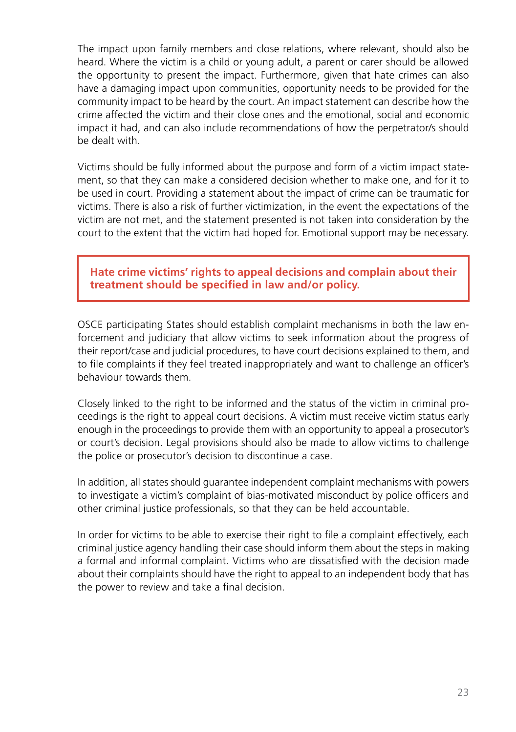The impact upon family members and close relations, where relevant, should also be heard. Where the victim is a child or young adult, a parent or carer should be allowed the opportunity to present the impact. Furthermore, given that hate crimes can also have a damaging impact upon communities, opportunity needs to be provided for the community impact to be heard by the court. An impact statement can describe how the crime affected the victim and their close ones and the emotional, social and economic impact it had, and can also include recommendations of how the perpetrator/s should be dealt with.

Victims should be fully informed about the purpose and form of a victim impact statement, so that they can make a considered decision whether to make one, and for it to be used in court. Providing a statement about the impact of crime can be traumatic for victims. There is also a risk of further victimization, in the event the expectations of the victim are not met, and the statement presented is not taken into consideration by the court to the extent that the victim had hoped for. Emotional support may be necessary.

**Hate crime victims' rights to appeal decisions and complain about their treatment should be specified in law and/or policy.**

OSCE participating States should establish complaint mechanisms in both the law enforcement and judiciary that allow victims to seek information about the progress of their report/case and judicial procedures, to have court decisions explained to them, and to file complaints if they feel treated inappropriately and want to challenge an officer's behaviour towards them.

Closely linked to the right to be informed and the status of the victim in criminal proceedings is the right to appeal court decisions. A victim must receive victim status early enough in the proceedings to provide them with an opportunity to appeal a prosecutor's or court's decision. Legal provisions should also be made to allow victims to challenge the police or prosecutor's decision to discontinue a case.

In addition, all states should guarantee independent complaint mechanisms with powers to investigate a victim's complaint of bias-motivated misconduct by police officers and other criminal justice professionals, so that they can be held accountable.

In order for victims to be able to exercise their right to file a complaint effectively, each criminal justice agency handling their case should inform them about the steps in making a formal and informal complaint. Victims who are dissatisfied with the decision made about their complaints should have the right to appeal to an independent body that has the power to review and take a final decision.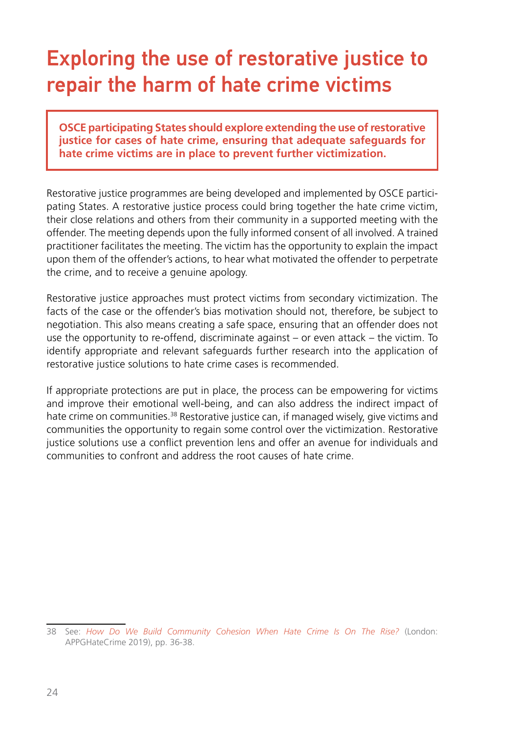### Exploring the use of restorative justice to repair the harm of hate crime victims

**OSCE participating States should explore extending the use of restorative justice for cases of hate crime, ensuring that adequate safeguards for hate crime victims are in place to prevent further victimization.**

Restorative justice programmes are being developed and implemented by OSCE participating States. A restorative justice process could bring together the hate crime victim, their close relations and others from their community in a supported meeting with the offender. The meeting depends upon the fully informed consent of all involved. A trained practitioner facilitates the meeting. The victim has the opportunity to explain the impact upon them of the offender's actions, to hear what motivated the offender to perpetrate the crime, and to receive a genuine apology.

Restorative justice approaches must protect victims from secondary victimization. The facts of the case or the offender's bias motivation should not, therefore, be subject to negotiation. This also means creating a safe space, ensuring that an offender does not use the opportunity to re-offend, discriminate against – or even attack – the victim. To identify appropriate and relevant safeguards further research into the application of restorative justice solutions to hate crime cases is recommended.

If appropriate protections are put in place, the process can be empowering for victims and improve their emotional well-being, and can also address the indirect impact of hate crime on communities.<sup>38</sup> Restorative justice can, if managed wisely, give victims and communities the opportunity to regain some control over the victimization. Restorative justice solutions use a conflict prevention lens and offer an avenue for individuals and communities to confront and address the root causes of hate crime.

<sup>38</sup> See: *[How Do We Build Community Cohesion When Hate Crime Is On The Rise?](https://www.appghatecrime.org/publications/)* (London: APPGHateCrime 2019), pp. 36-38.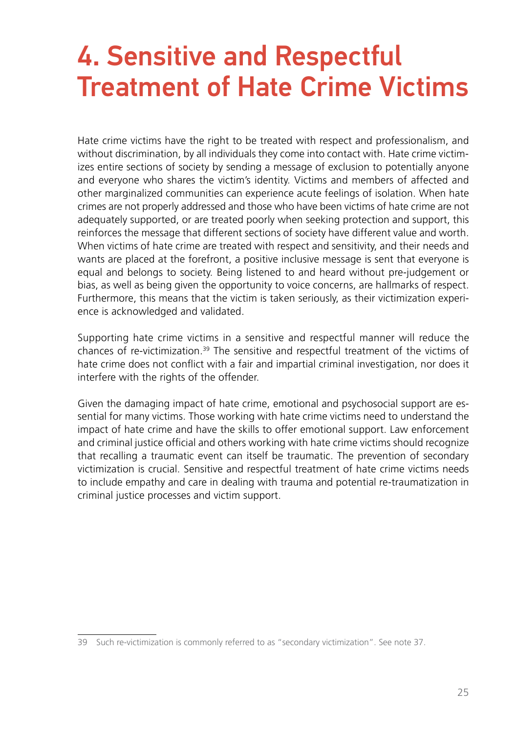# <span id="page-24-0"></span>4. Sensitive and Respectful Treatment of Hate Crime Victims

Hate crime victims have the right to be treated with respect and professionalism, and without discrimination, by all individuals they come into contact with. Hate crime victimizes entire sections of society by sending a message of exclusion to potentially anyone and everyone who shares the victim's identity. Victims and members of affected and other marginalized communities can experience acute feelings of isolation. When hate crimes are not properly addressed and those who have been victims of hate crime are not adequately supported, or are treated poorly when seeking protection and support, this reinforces the message that different sections of society have different value and worth. When victims of hate crime are treated with respect and sensitivity, and their needs and wants are placed at the forefront, a positive inclusive message is sent that everyone is equal and belongs to society. Being listened to and heard without pre-judgement or bias, as well as being given the opportunity to voice concerns, are hallmarks of respect. Furthermore, this means that the victim is taken seriously, as their victimization experience is acknowledged and validated.

Supporting hate crime victims in a sensitive and respectful manner will reduce the chances of re-victimization.<sup>39</sup> The sensitive and respectful treatment of the victims of hate crime does not conflict with a fair and impartial criminal investigation, nor does it interfere with the rights of the offender.

Given the damaging impact of hate crime, emotional and psychosocial support are essential for many victims. Those working with hate crime victims need to understand the impact of hate crime and have the skills to offer emotional support. Law enforcement and criminal justice official and others working with hate crime victims should recognize that recalling a traumatic event can itself be traumatic. The prevention of secondary victimization is crucial. Sensitive and respectful treatment of hate crime victims needs to include empathy and care in dealing with trauma and potential re-traumatization in criminal justice processes and victim support.

<sup>39</sup> Such re-victimization is commonly referred to as "secondary victimization". See note 37.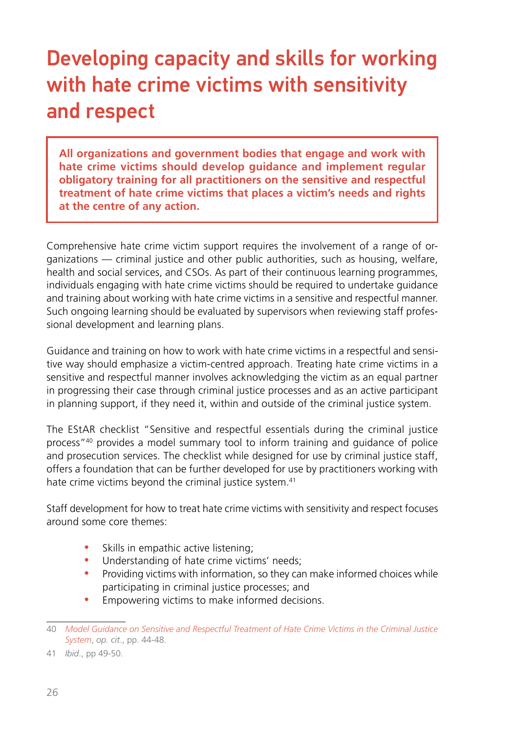## Developing capacity and skills for working with hate crime victims with sensitivity and respect

**All organizations and government bodies that engage and work with hate crime victims should develop guidance and implement regular obligatory training for all practitioners on the sensitive and respectful treatment of hate crime victims that places a victim's needs and rights at the centre of any action.**

Comprehensive hate crime victim support requires the involvement of a range of organizations — criminal justice and other public authorities, such as housing, welfare, health and social services, and CSOs. As part of their continuous learning programmes, individuals engaging with hate crime victims should be required to undertake guidance and training about working with hate crime victims in a sensitive and respectful manner. Such ongoing learning should be evaluated by supervisors when reviewing staff professional development and learning plans.

Guidance and training on how to work with hate crime victims in a respectful and sensitive way should emphasize a victim-centred approach. Treating hate crime victims in a sensitive and respectful manner involves acknowledging the victim as an equal partner in progressing their case through criminal justice processes and as an active participant in planning support, if they need it, within and outside of the criminal justice system.

The EStAR checklist "Sensitive and respectful essentials during the criminal justice process"40 provides a model summary tool to inform training and guidance of police and prosecution services. The checklist while designed for use by criminal justice staff, offers a foundation that can be further developed for use by practitioners working with hate crime victims beyond the criminal justice system.<sup>41</sup>

Staff development for how to treat hate crime victims with sensitivity and respect focuses around some core themes:

- Skills in empathic active listening;
- Understanding of hate crime victims' needs;
- Providing victims with information, so they can make informed choices while participating in criminal justice processes; and
- **•** Empowering victims to make informed decisions.

<sup>40</sup> *[Model Guidance on Sensitive and Respectful Treatment of Hate Crime Victims in the Criminal Justice](https://www.osce.org/files/f/documents/8/f/499513.pdf)  [System](https://www.osce.org/files/f/documents/8/f/499513.pdf)*, *op. cit*., pp. 44-48.

<sup>41</sup> *Ibid*., pp 49-50.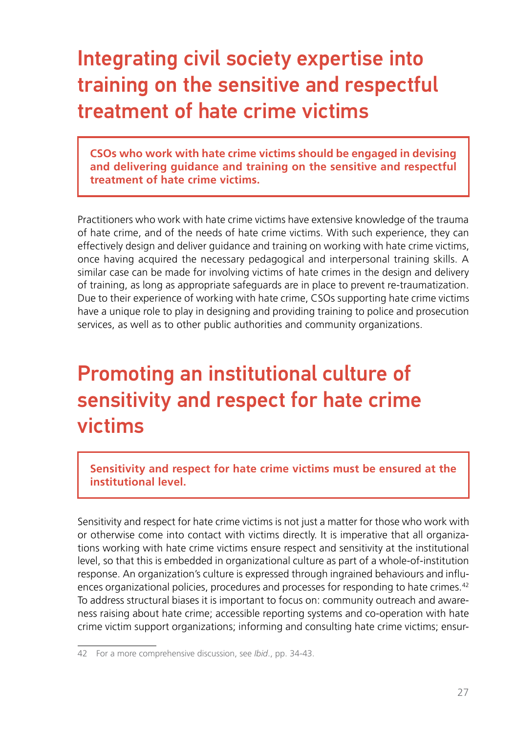### Integrating civil society expertise into training on the sensitive and respectful treatment of hate crime victims

**CSOs who work with hate crime victims should be engaged in devising and delivering guidance and training on the sensitive and respectful treatment of hate crime victims.**

Practitioners who work with hate crime victims have extensive knowledge of the trauma of hate crime, and of the needs of hate crime victims. With such experience, they can effectively design and deliver guidance and training on working with hate crime victims, once having acquired the necessary pedagogical and interpersonal training skills. A similar case can be made for involving victims of hate crimes in the design and delivery of training, as long as appropriate safeguards are in place to prevent re-traumatization. Due to their experience of working with hate crime, CSOs supporting hate crime victims have a unique role to play in designing and providing training to police and prosecution services, as well as to other public authorities and community organizations.

### Promoting an institutional culture of sensitivity and respect for hate crime victims

**Sensitivity and respect for hate crime victims must be ensured at the institutional level.**

Sensitivity and respect for hate crime victims is not just a matter for those who work with or otherwise come into contact with victims directly. It is imperative that all organizations working with hate crime victims ensure respect and sensitivity at the institutional level, so that this is embedded in organizational culture as part of a whole-of-institution response. An organization's culture is expressed through ingrained behaviours and influences organizational policies, procedures and processes for responding to hate crimes.<sup>42</sup> To address structural biases it is important to focus on: community outreach and awareness raising about hate crime; accessible reporting systems and co-operation with hate crime victim support organizations; informing and consulting hate crime victims; ensur-

<sup>42</sup> For a more comprehensive discussion, see *Ibid*., pp. 34-43.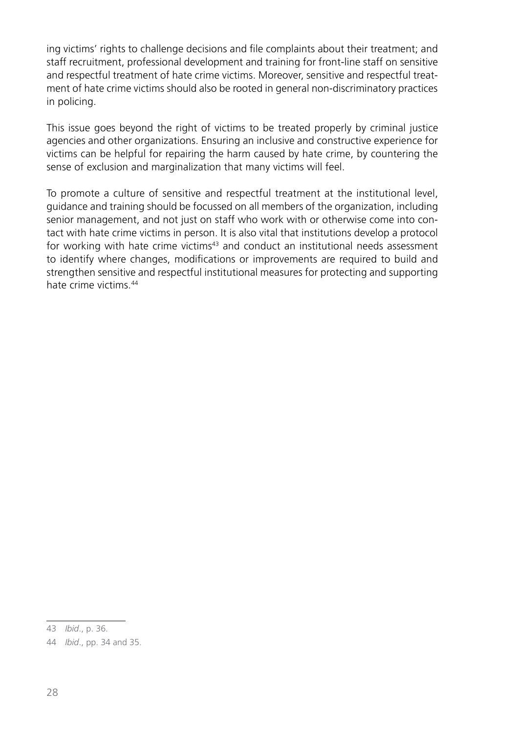ing victims' rights to challenge decisions and file complaints about their treatment; and staff recruitment, professional development and training for front-line staff on sensitive and respectful treatment of hate crime victims. Moreover, sensitive and respectful treatment of hate crime victims should also be rooted in general non-discriminatory practices in policing.

This issue goes beyond the right of victims to be treated properly by criminal justice agencies and other organizations. Ensuring an inclusive and constructive experience for victims can be helpful for repairing the harm caused by hate crime, by countering the sense of exclusion and marginalization that many victims will feel.

To promote a culture of sensitive and respectful treatment at the institutional level, guidance and training should be focussed on all members of the organization, including senior management, and not just on staff who work with or otherwise come into contact with hate crime victims in person. It is also vital that institutions develop a protocol for working with hate crime victims<sup>43</sup> and conduct an institutional needs assessment to identify where changes, modifications or improvements are required to build and strengthen sensitive and respectful institutional measures for protecting and supporting hate crime victims.44

<sup>43</sup> *Ibid*., p. 36.

<sup>44</sup> *Ibid*., pp. 34 and 35.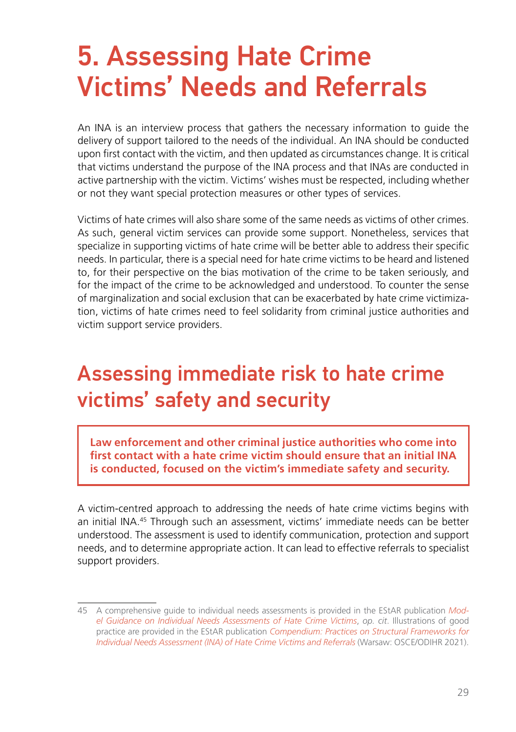## <span id="page-28-0"></span>5. Assessing Hate Crime Victims' Needs and Referrals

An INA is an interview process that gathers the necessary information to guide the delivery of support tailored to the needs of the individual. An INA should be conducted upon first contact with the victim, and then updated as circumstances change. It is critical that victims understand the purpose of the INA process and that INAs are conducted in active partnership with the victim. Victims' wishes must be respected, including whether or not they want special protection measures or other types of services.

Victims of hate crimes will also share some of the same needs as victims of other crimes. As such, general victim services can provide some support. Nonetheless, services that specialize in supporting victims of hate crime will be better able to address their specific needs. In particular, there is a special need for hate crime victims to be heard and listened to, for their perspective on the bias motivation of the crime to be taken seriously, and for the impact of the crime to be acknowledged and understood. To counter the sense of marginalization and social exclusion that can be exacerbated by hate crime victimization, victims of hate crimes need to feel solidarity from criminal justice authorities and victim support service providers.

## Assessing immediate risk to hate crime victims' safety and security

**Law enforcement and other criminal justice authorities who come into first contact with a hate crime victim should ensure that an initial INA is conducted, focused on the victim's immediate safety and security.**

A victim-centred approach to addressing the needs of hate crime victims begins with an initial INA.45 Through such an assessment, victims' immediate needs can be better understood. The assessment is used to identify communication, protection and support needs, and to determine appropriate action. It can lead to effective referrals to specialist support providers.

<sup>45</sup> A comprehensive guide to individual needs assessments is provided in the EStAR publication *[Mod](https://www.osce.org/odihr/489782)[el Guidance on Individual Needs Assessments of Hate Crime Victims](https://www.osce.org/odihr/489782)*, *op. cit*. Illustrations of good practice are provided in the EStAR publication *[Compendium: Practices on Structural Frameworks for](https://www.osce.org/odihr/505981) [Individual Needs Assessment \(INA\) of Hate Crime Victims and Referrals](https://www.osce.org/odihr/505981)* (Warsaw: OSCE/ODIHR 2021).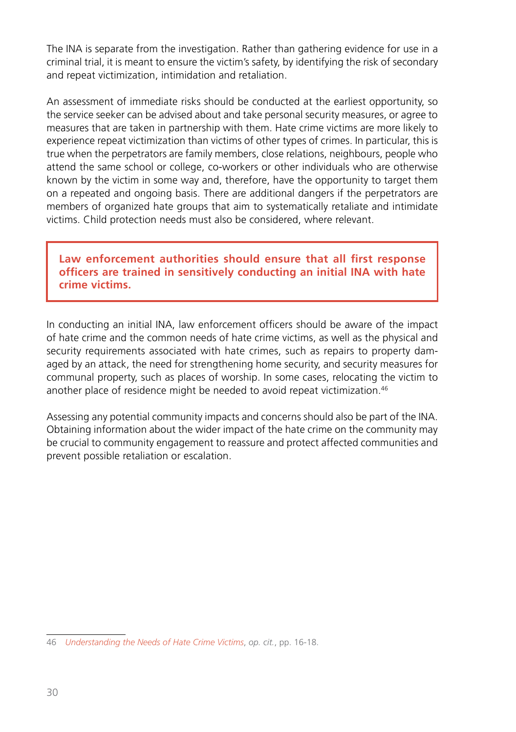The INA is separate from the investigation. Rather than gathering evidence for use in a criminal trial, it is meant to ensure the victim's safety, by identifying the risk of secondary and repeat victimization, intimidation and retaliation.

An assessment of immediate risks should be conducted at the earliest opportunity, so the service seeker can be advised about and take personal security measures, or agree to measures that are taken in partnership with them. Hate crime victims are more likely to experience repeat victimization than victims of other types of crimes. In particular, this is true when the perpetrators are family members, close relations, neighbours, people who attend the same school or college, co-workers or other individuals who are otherwise known by the victim in some way and, therefore, have the opportunity to target them on a repeated and ongoing basis. There are additional dangers if the perpetrators are members of organized hate groups that aim to systematically retaliate and intimidate victims. Child protection needs must also be considered, where relevant.

#### **Law enforcement authorities should ensure that all first response officers are trained in sensitively conducting an initial INA with hate crime victims.**

In conducting an initial INA, law enforcement officers should be aware of the impact of hate crime and the common needs of hate crime victims, as well as the physical and security requirements associated with hate crimes, such as repairs to property damaged by an attack, the need for strengthening home security, and security measures for communal property, such as places of worship. In some cases, relocating the victim to another place of residence might be needed to avoid repeat victimization.<sup>46</sup>

Assessing any potential community impacts and concerns should also be part of the INA. Obtaining information about the wider impact of the hate crime on the community may be crucial to community engagement to reassure and protect affected communities and prevent possible retaliation or escalation.

<sup>46</sup> *[Understanding the Needs of Hate Crime Victims](https://www.osce.org/files/f/documents/0/5/463011.pdf)*, *op. cit.*, pp. 16-18.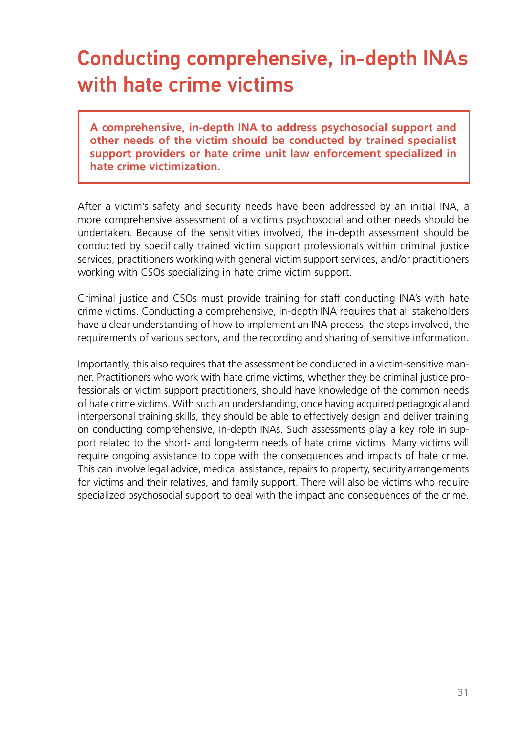## Conducting comprehensive, in-depth INAs with hate crime victims

**A comprehensive, in-depth INA to address psychosocial support and other needs of the victim should be conducted by trained specialist support providers or hate crime unit law enforcement specialized in hate crime victimization.**

After a victim's safety and security needs have been addressed by an initial INA, a more comprehensive assessment of a victim's psychosocial and other needs should be undertaken. Because of the sensitivities involved, the in-depth assessment should be conducted by specifically trained victim support professionals within criminal justice services, practitioners working with general victim support services, and/or practitioners working with CSOs specializing in hate crime victim support.

Criminal justice and CSOs must provide training for staff conducting INA's with hate crime victims. Conducting a comprehensive, in-depth INA requires that all stakeholders have a clear understanding of how to implement an INA process, the steps involved, the requirements of various sectors, and the recording and sharing of sensitive information.

Importantly, this also requires that the assessment be conducted in a victim-sensitive manner. Practitioners who work with hate crime victims, whether they be criminal justice professionals or victim support practitioners, should have knowledge of the common needs of hate crime victims. With such an understanding, once having acquired pedagogical and interpersonal training skills, they should be able to effectively design and deliver training on conducting comprehensive, in-depth INAs. Such assessments play a key role in support related to the short- and long-term needs of hate crime victims. Many victims will require ongoing assistance to cope with the consequences and impacts of hate crime. This can involve legal advice, medical assistance, repairs to property, security arrangements for victims and their relatives, and family support. There will also be victims who require specialized psychosocial support to deal with the impact and consequences of the crime.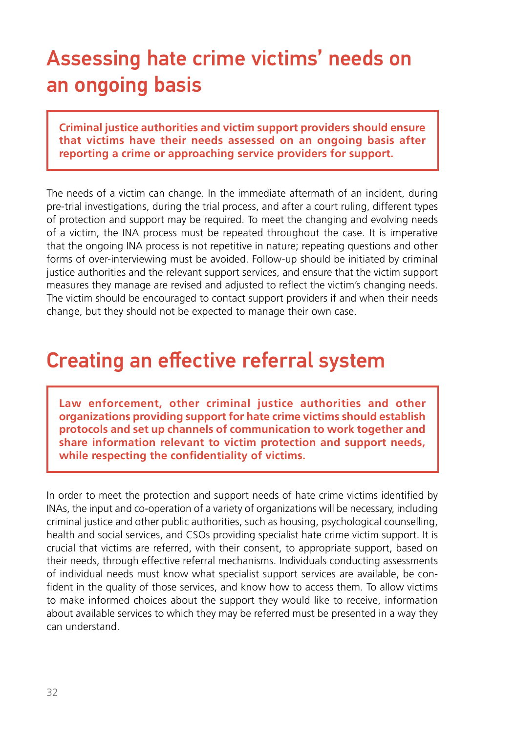## Assessing hate crime victims' needs on an ongoing basis

**Criminal justice authorities and victim support providers should ensure that victims have their needs assessed on an ongoing basis after reporting a crime or approaching service providers for support.**

The needs of a victim can change. In the immediate aftermath of an incident, during pre-trial investigations, during the trial process, and after a court ruling, different types of protection and support may be required. To meet the changing and evolving needs of a victim, the INA process must be repeated throughout the case. It is imperative that the ongoing INA process is not repetitive in nature; repeating questions and other forms of over-interviewing must be avoided. Follow-up should be initiated by criminal justice authorities and the relevant support services, and ensure that the victim support measures they manage are revised and adjusted to reflect the victim's changing needs. The victim should be encouraged to contact support providers if and when their needs change, but they should not be expected to manage their own case.

#### Creating an effective referral system

**Law enforcement, other criminal justice authorities and other organizations providing support for hate crime victims should establish protocols and set up channels of communication to work together and share information relevant to victim protection and support needs, while respecting the confidentiality of victims.**

In order to meet the protection and support needs of hate crime victims identified by INAs, the input and co-operation of a variety of organizations will be necessary, including criminal justice and other public authorities, such as housing, psychological counselling, health and social services, and CSOs providing specialist hate crime victim support. It is crucial that victims are referred, with their consent, to appropriate support, based on their needs, through effective referral mechanisms. Individuals conducting assessments of individual needs must know what specialist support services are available, be confident in the quality of those services, and know how to access them. To allow victims to make informed choices about the support they would like to receive, information about available services to which they may be referred must be presented in a way they can understand.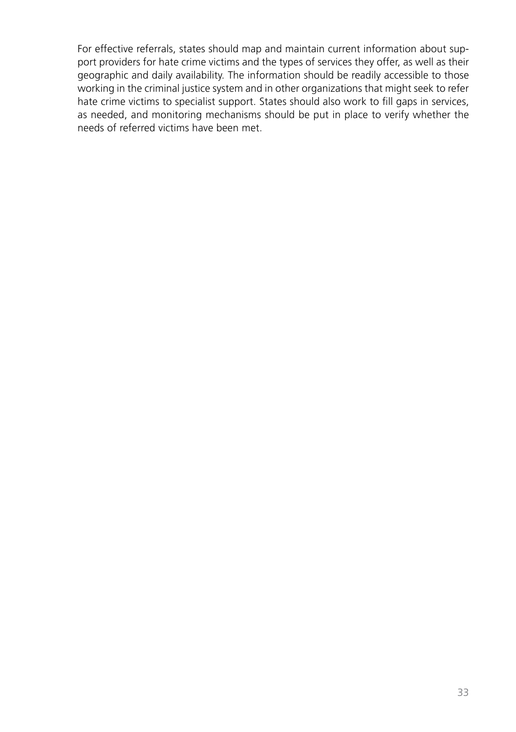<span id="page-32-0"></span>For effective referrals, states should map and maintain current information about support providers for hate crime victims and the types of services they offer, as well as their geographic and daily availability. The information should be readily accessible to those working in the criminal justice system and in other organizations that might seek to refer hate crime victims to specialist support. States should also work to fill gaps in services, as needed, and monitoring mechanisms should be put in place to verify whether the needs of referred victims have been met.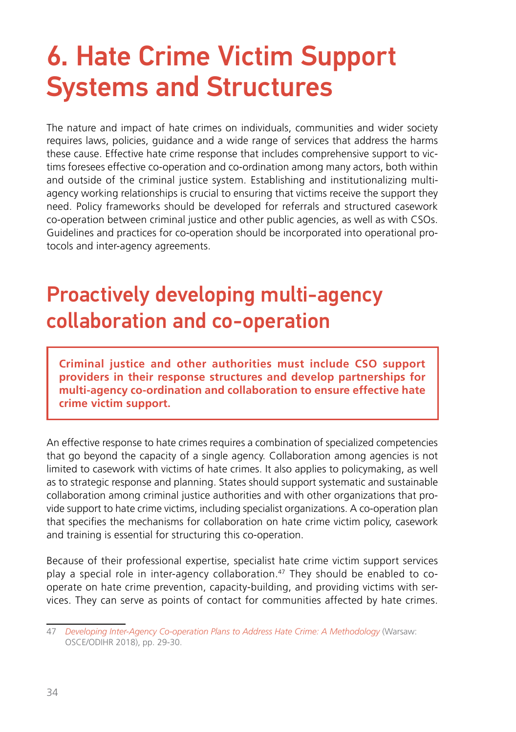## 6. Hate Crime Victim Support Systems and Structures

The nature and impact of hate crimes on individuals, communities and wider society requires laws, policies, guidance and a wide range of services that address the harms these cause. Effective hate crime response that includes comprehensive support to victims foresees effective co-operation and co-ordination among many actors, both within and outside of the criminal justice system. Establishing and institutionalizing multiagency working relationships is crucial to ensuring that victims receive the support they need. Policy frameworks should be developed for referrals and structured casework co-operation between criminal justice and other public agencies, as well as with CSOs. Guidelines and practices for co-operation should be incorporated into operational protocols and inter-agency agreements.

### Proactively developing multi-agency collaboration and co-operation

**Criminal justice and other authorities must include CSO support providers in their response structures and develop partnerships for multi-agency co-ordination and collaboration to ensure effective hate crime victim support.**

An effective response to hate crimes requires a combination of specialized competencies that go beyond the capacity of a single agency. Collaboration among agencies is not limited to casework with victims of hate crimes. It also applies to policymaking, as well as to strategic response and planning. States should support systematic and sustainable collaboration among criminal justice authorities and with other organizations that provide support to hate crime victims, including specialist organizations. A co-operation plan that specifies the mechanisms for collaboration on hate crime victim policy, casework and training is essential for structuring this co-operation.

Because of their professional expertise, specialist hate crime victim support services play a special role in inter-agency collaboration. $47$  They should be enabled to cooperate on hate crime prevention, capacity-building, and providing victims with services. They can serve as points of contact for communities affected by hate crimes.

<sup>47</sup> *[Developing Inter-Agency Co-operation Plans to Address Hate Crime: A Methodology](https://www.osce.org/odihr/402305)* (Warsaw: OSCE/ODIHR 2018), pp. 29-30.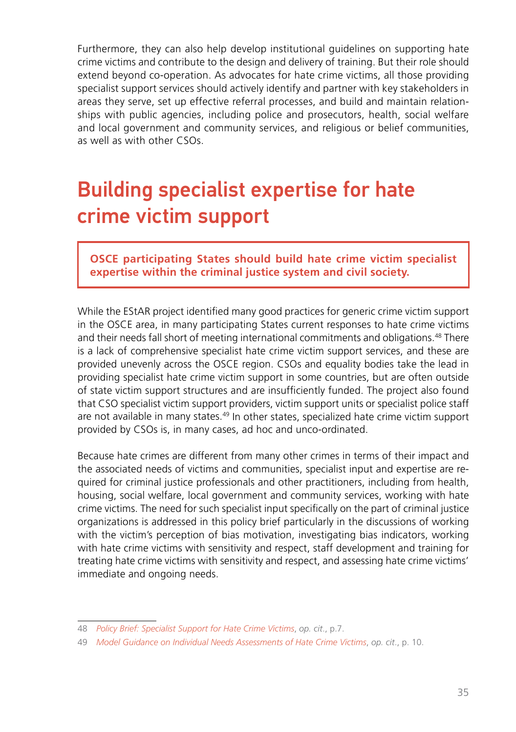Furthermore, they can also help develop institutional guidelines on supporting hate crime victims and contribute to the design and delivery of training. But their role should extend beyond co-operation. As advocates for hate crime victims, all those providing specialist support services should actively identify and partner with key stakeholders in areas they serve, set up effective referral processes, and build and maintain relationships with public agencies, including police and prosecutors, health, social welfare and local government and community services, and religious or belief communities, as well as with other CSOs.

### Building specialist expertise for hate crime victim support

**OSCE participating States should build hate crime victim specialist expertise within the criminal justice system and civil society.**

While the EStAR project identified many good practices for generic crime victim support in the OSCE area, in many participating States current responses to hate crime victims and their needs fall short of meeting international commitments and obligations.48 There is a lack of comprehensive specialist hate crime victim support services, and these are provided unevenly across the OSCE region. CSOs and equality bodies take the lead in providing specialist hate crime victim support in some countries, but are often outside of state victim support structures and are insufficiently funded. The project also found that CSO specialist victim support providers, victim support units or specialist police staff are not available in many states.49 In other states, specialized hate crime victim support provided by CSOs is, in many cases, ad hoc and unco-ordinated.

Because hate crimes are different from many other crimes in terms of their impact and the associated needs of victims and communities, specialist input and expertise are required for criminal justice professionals and other practitioners, including from health, housing, social welfare, local government and community services, working with hate crime victims. The need for such specialist input specifically on the part of criminal justice organizations is addressed in this policy brief particularly in the discussions of working with the victim's perception of bias motivation, investigating bias indicators, working with hate crime victims with sensitivity and respect, staff development and training for treating hate crime victims with sensitivity and respect, and assessing hate crime victims' immediate and ongoing needs.

<sup>48</sup> *[Policy Brief: Specialist Support for Hate Crime Victims](https://www.osce.org/odihr/513127)*, *op. cit*., p.7.

<sup>49</sup> *[Model Guidance on Individual Needs Assessments of Hate Crime Victims](https://www.osce.org/odihr/489782)*, *op. cit*., p. 10.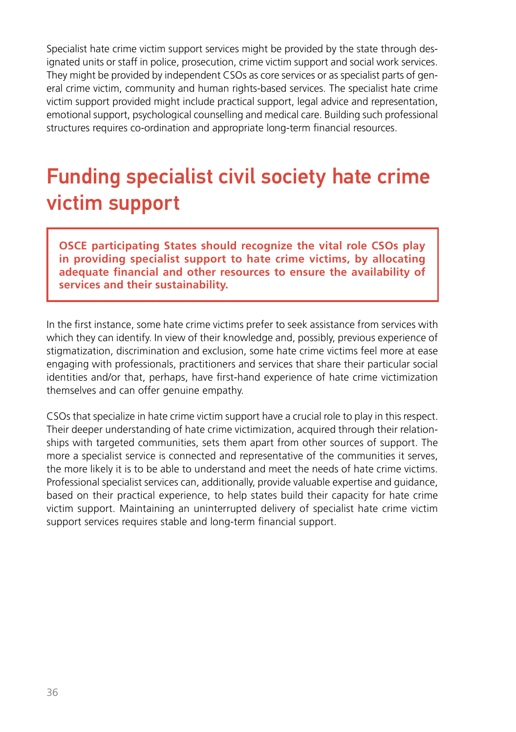Specialist hate crime victim support services might be provided by the state through designated units or staff in police, prosecution, crime victim support and social work services. They might be provided by independent CSOs as core services or as specialist parts of general crime victim, community and human rights-based services. The specialist hate crime victim support provided might include practical support, legal advice and representation, emotional support, psychological counselling and medical care. Building such professional structures requires co-ordination and appropriate long-term financial resources.

### Funding specialist civil society hate crime victim support

**OSCE participating States should recognize the vital role CSOs play in providing specialist support to hate crime victims, by allocating adequate financial and other resources to ensure the availability of services and their sustainability.**

In the first instance, some hate crime victims prefer to seek assistance from services with which they can identify. In view of their knowledge and, possibly, previous experience of stigmatization, discrimination and exclusion, some hate crime victims feel more at ease engaging with professionals, practitioners and services that share their particular social identities and/or that, perhaps, have first-hand experience of hate crime victimization themselves and can offer genuine empathy.

CSOs that specialize in hate crime victim support have a crucial role to play in this respect. Their deeper understanding of hate crime victimization, acquired through their relationships with targeted communities, sets them apart from other sources of support. The more a specialist service is connected and representative of the communities it serves, the more likely it is to be able to understand and meet the needs of hate crime victims. Professional specialist services can, additionally, provide valuable expertise and guidance, based on their practical experience, to help states build their capacity for hate crime victim support. Maintaining an uninterrupted delivery of specialist hate crime victim support services requires stable and long-term financial support.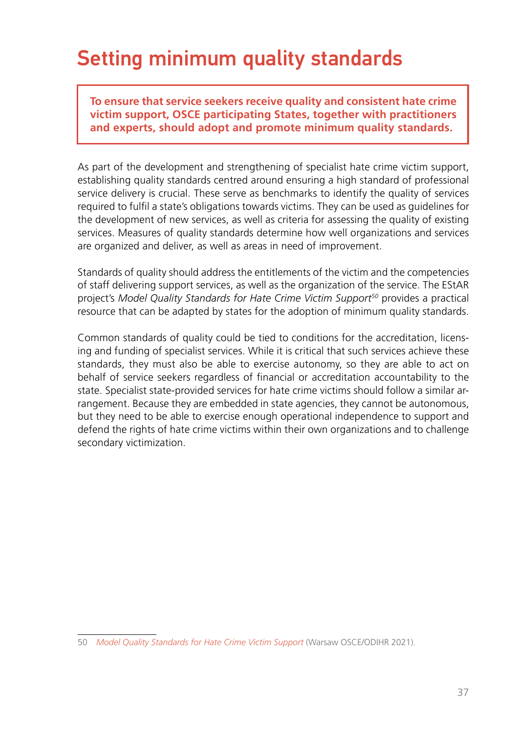### Setting minimum quality standards

**To ensure that service seekers receive quality and consistent hate crime victim support, OSCE participating States, together with practitioners and experts, should adopt and promote minimum quality standards.**

As part of the development and strengthening of specialist hate crime victim support, establishing quality standards centred around ensuring a high standard of professional service delivery is crucial. These serve as benchmarks to identify the quality of services required to fulfil a state's obligations towards victims. They can be used as guidelines for the development of new services, as well as criteria for assessing the quality of existing services. Measures of quality standards determine how well organizations and services are organized and deliver, as well as areas in need of improvement.

Standards of quality should address the entitlements of the victim and the competencies of staff delivering support services, as well as the organization of the service. The EStAR project's *Model Quality Standards for Hate Crime Victim Support50* provides a practical resource that can be adapted by states for the adoption of minimum quality standards.

Common standards of quality could be tied to conditions for the accreditation, licensing and funding of specialist services. While it is critical that such services achieve these standards, they must also be able to exercise autonomy, so they are able to act on behalf of service seekers regardless of financial or accreditation accountability to the state. Specialist state-provided services for hate crime victims should follow a similar arrangement. Because they are embedded in state agencies, they cannot be autonomous, but they need to be able to exercise enough operational independence to support and defend the rights of hate crime victims within their own organizations and to challenge secondary victimization.

<sup>50</sup> *[Model Quality Standards for Hate Crime Victim Support](https://www.osce.org/odihr/485273)* (Warsaw OSCE/ODIHR 2021).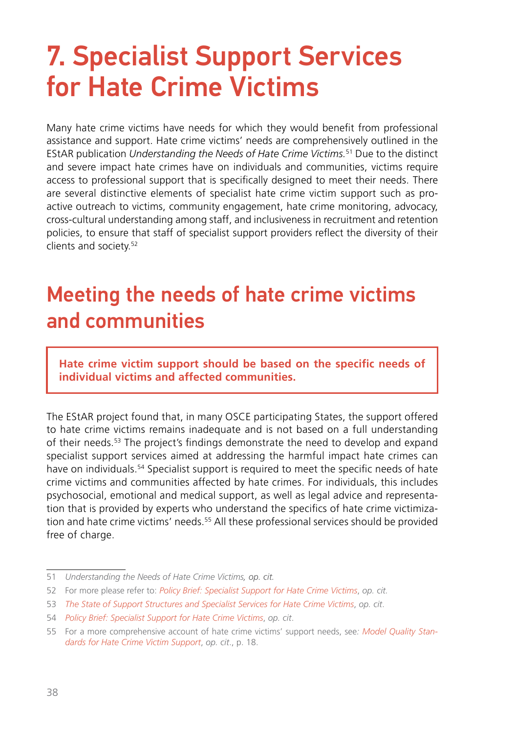# <span id="page-37-0"></span>7. Specialist Support Services for Hate Crime Victims

Many hate crime victims have needs for which they would benefit from professional assistance and support. Hate crime victims' needs are comprehensively outlined in the EStAR publication *Understanding the Needs of Hate Crime Victims.*51 Due to the distinct and severe impact hate crimes have on individuals and communities, victims require access to professional support that is specifically designed to meet their needs. There are several distinctive elements of specialist hate crime victim support such as proactive outreach to victims, community engagement, hate crime monitoring, advocacy, cross-cultural understanding among staff, and inclusiveness in recruitment and retention policies, to ensure that staff of specialist support providers reflect the diversity of their clients and society.52

### Meeting the needs of hate crime victims and communities

**Hate crime victim support should be based on the specific needs of individual victims and affected communities.**

The EStAR project found that, in many OSCE participating States, the support offered to hate crime victims remains inadequate and is not based on a full understanding of their needs.53 The project's findings demonstrate the need to develop and expand specialist support services aimed at addressing the harmful impact hate crimes can have on individuals.<sup>54</sup> Specialist support is required to meet the specific needs of hate crime victims and communities affected by hate crimes. For individuals, this includes psychosocial, emotional and medical support, as well as legal advice and representation that is provided by experts who understand the specifics of hate crime victimization and hate crime victims' needs.55 All these professional services should be provided free of charge.

<sup>51</sup> *Understanding the Needs of Hate Crime Victims, op. cit.*

<sup>52</sup> For more please refer to: *[Policy Brief: Specialist Support for Hate Crime Victims](https://www.osce.org/odihr/513127)*, *op. cit.*

<sup>53</sup> *[The State of Support Structures and Specialist Services for Hate Crime Victims](https://www.osce.org/files/f/documents/4/3/467916.pdf)*, *op. cit*.

<sup>54</sup> *[Policy Brief: Specialist Support for Hate Crime Victims](https://www.osce.org/odihr/513127)*, *op. cit*.

<sup>55</sup> For a more comprehensive account of hate crime victims' support needs, see*: [Model Quality Stan](https://www.osce.org/odihr/485273)[dards for Hate Crime Victim Support](https://www.osce.org/odihr/485273)*, *op. cit*., p. 18.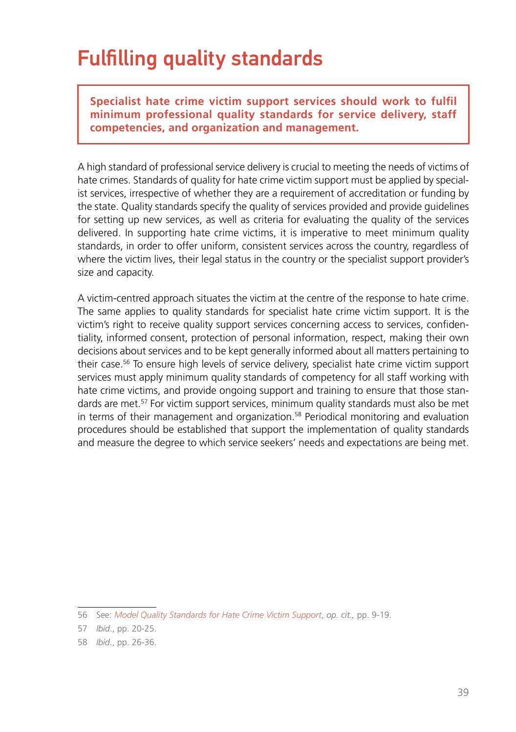### Fulfilling quality standards

**Specialist hate crime victim support services should work to fulfil minimum professional quality standards for service delivery, staff competencies, and organization and management.**

A high standard of professional service delivery is crucial to meeting the needs of victims of hate crimes. Standards of quality for hate crime victim support must be applied by specialist services, irrespective of whether they are a requirement of accreditation or funding by the state. Quality standards specify the quality of services provided and provide guidelines for setting up new services, as well as criteria for evaluating the quality of the services delivered. In supporting hate crime victims, it is imperative to meet minimum quality standards, in order to offer uniform, consistent services across the country, regardless of where the victim lives, their legal status in the country or the specialist support provider's size and capacity.

A victim-centred approach situates the victim at the centre of the response to hate crime. The same applies to quality standards for specialist hate crime victim support. It is the victim's right to receive quality support services concerning access to services, confidentiality, informed consent, protection of personal information, respect, making their own decisions about services and to be kept generally informed about all matters pertaining to their case.56 To ensure high levels of service delivery, specialist hate crime victim support services must apply minimum quality standards of competency for all staff working with hate crime victims, and provide ongoing support and training to ensure that those standards are met.57 For victim support services, minimum quality standards must also be met in terms of their management and organization.58 Periodical monitoring and evaluation procedures should be established that support the implementation of quality standards and measure the degree to which service seekers' needs and expectations are being met.

<sup>56</sup> See: *[Model Quality Standards for Hate Crime Victim Support](https://www.osce.org/odihr/485273)*, *op. cit.,* pp. 9-19.

<sup>57</sup> *Ibid*., pp. 20-25.

<sup>58</sup> *Ibid*., pp. 26-36.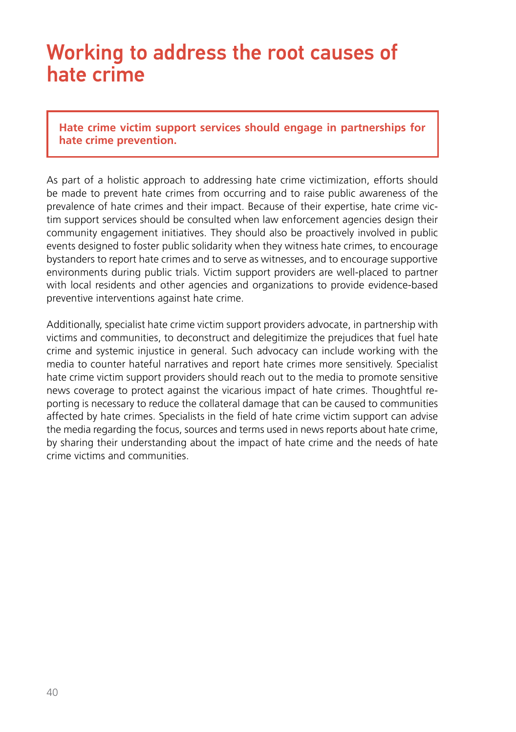#### Working to address the root causes of hate crime

**Hate crime victim support services should engage in partnerships for hate crime prevention.**

As part of a holistic approach to addressing hate crime victimization, efforts should be made to prevent hate crimes from occurring and to raise public awareness of the prevalence of hate crimes and their impact. Because of their expertise, hate crime victim support services should be consulted when law enforcement agencies design their community engagement initiatives. They should also be proactively involved in public events designed to foster public solidarity when they witness hate crimes, to encourage bystanders to report hate crimes and to serve as witnesses, and to encourage supportive environments during public trials. Victim support providers are well-placed to partner with local residents and other agencies and organizations to provide evidence-based preventive interventions against hate crime.

Additionally, specialist hate crime victim support providers advocate, in partnership with victims and communities, to deconstruct and delegitimize the prejudices that fuel hate crime and systemic injustice in general. Such advocacy can include working with the media to counter hateful narratives and report hate crimes more sensitively. Specialist hate crime victim support providers should reach out to the media to promote sensitive news coverage to protect against the vicarious impact of hate crimes. Thoughtful reporting is necessary to reduce the collateral damage that can be caused to communities affected by hate crimes. Specialists in the field of hate crime victim support can advise the media regarding the focus, sources and terms used in news reports about hate crime, by sharing their understanding about the impact of hate crime and the needs of hate crime victims and communities.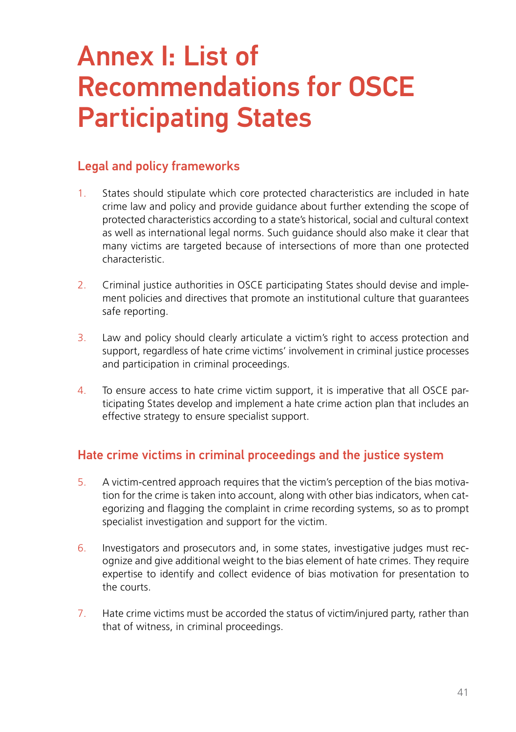# <span id="page-40-0"></span>Annex I: List of Recommendations for OSCE Participating States

#### Legal and policy frameworks

- 1. States should stipulate which core protected characteristics are included in hate crime law and policy and provide guidance about further extending the scope of protected characteristics according to a state's historical, social and cultural context as well as international legal norms. Such guidance should also make it clear that many victims are targeted because of intersections of more than one protected characteristic.
- 2. Criminal justice authorities in OSCE participating States should devise and implement policies and directives that promote an institutional culture that guarantees safe reporting.
- 3. Law and policy should clearly articulate a victim's right to access protection and support, regardless of hate crime victims' involvement in criminal justice processes and participation in criminal proceedings.
- 4. To ensure access to hate crime victim support, it is imperative that all OSCE participating States develop and implement a hate crime action plan that includes an effective strategy to ensure specialist support.

#### Hate crime victims in criminal proceedings and the justice system

- 5. A victim-centred approach requires that the victim's perception of the bias motivation for the crime is taken into account, along with other bias indicators, when categorizing and flagging the complaint in crime recording systems, so as to prompt specialist investigation and support for the victim.
- 6. Investigators and prosecutors and, in some states, investigative judges must recognize and give additional weight to the bias element of hate crimes. They require expertise to identify and collect evidence of bias motivation for presentation to the courts.
- 7. Hate crime victims must be accorded the status of victim/injured party, rather than that of witness, in criminal proceedings.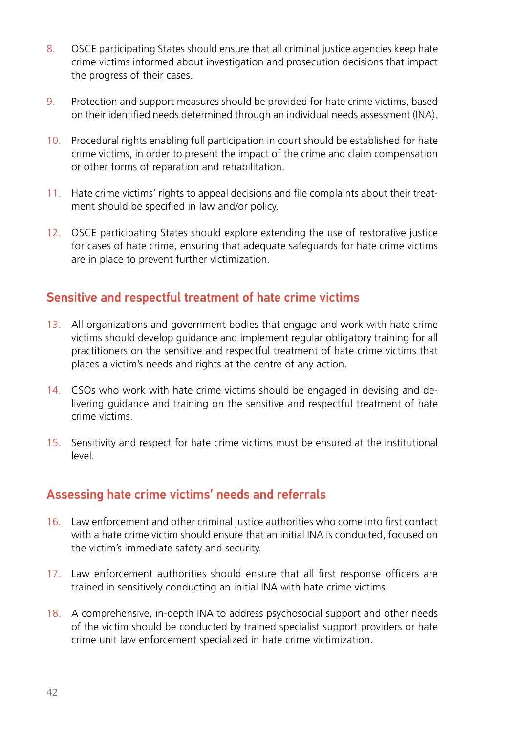- 8. OSCE participating States should ensure that all criminal justice agencies keep hate crime victims informed about investigation and prosecution decisions that impact the progress of their cases.
- 9. Protection and support measures should be provided for hate crime victims, based on their identified needs determined through an individual needs assessment (INA).
- 10. Procedural rights enabling full participation in court should be established for hate crime victims, in order to present the impact of the crime and claim compensation or other forms of reparation and rehabilitation.
- 11. Hate crime victims' rights to appeal decisions and file complaints about their treatment should be specified in law and/or policy.
- 12. OSCE participating States should explore extending the use of restorative justice for cases of hate crime, ensuring that adequate safeguards for hate crime victims are in place to prevent further victimization.

#### Sensitive and respectful treatment of hate crime victims

- 13. All organizations and government bodies that engage and work with hate crime victims should develop guidance and implement regular obligatory training for all practitioners on the sensitive and respectful treatment of hate crime victims that places a victim's needs and rights at the centre of any action.
- 14. CSOs who work with hate crime victims should be engaged in devising and delivering guidance and training on the sensitive and respectful treatment of hate crime victims.
- 15. Sensitivity and respect for hate crime victims must be ensured at the institutional level.

#### Assessing hate crime victims' needs and referrals

- 16. Law enforcement and other criminal justice authorities who come into first contact with a hate crime victim should ensure that an initial INA is conducted, focused on the victim's immediate safety and security.
- 17. Law enforcement authorities should ensure that all first response officers are trained in sensitively conducting an initial INA with hate crime victims.
- 18. A comprehensive, in-depth INA to address psychosocial support and other needs of the victim should be conducted by trained specialist support providers or hate crime unit law enforcement specialized in hate crime victimization.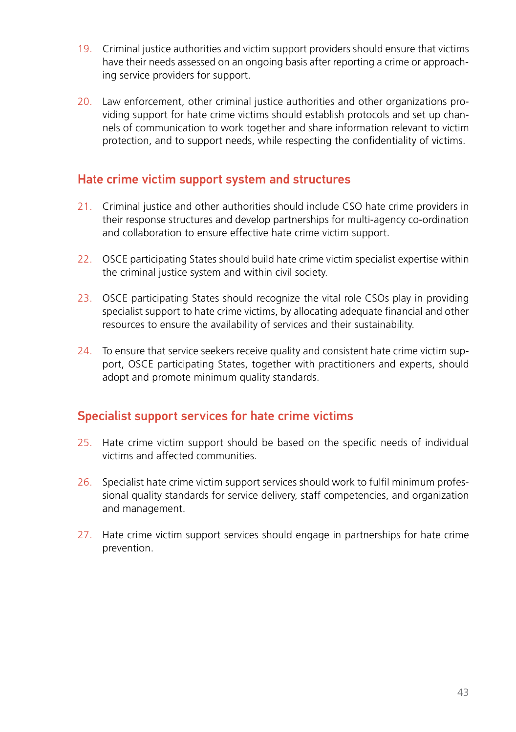- 19. Criminal justice authorities and victim support providers should ensure that victims have their needs assessed on an ongoing basis after reporting a crime or approaching service providers for support.
- 20. Law enforcement, other criminal justice authorities and other organizations providing support for hate crime victims should establish protocols and set up channels of communication to work together and share information relevant to victim protection, and to support needs, while respecting the confidentiality of victims.

#### Hate crime victim support system and structures

- 21. Criminal justice and other authorities should include CSO hate crime providers in their response structures and develop partnerships for multi-agency co-ordination and collaboration to ensure effective hate crime victim support.
- 22. OSCE participating States should build hate crime victim specialist expertise within the criminal justice system and within civil society.
- 23. OSCE participating States should recognize the vital role CSOs play in providing specialist support to hate crime victims, by allocating adequate financial and other resources to ensure the availability of services and their sustainability.
- 24. To ensure that service seekers receive quality and consistent hate crime victim support, OSCE participating States, together with practitioners and experts, should adopt and promote minimum quality standards.

#### Specialist support services for hate crime victims

- 25. Hate crime victim support should be based on the specific needs of individual victims and affected communities.
- 26. Specialist hate crime victim support services should work to fulfil minimum professional quality standards for service delivery, staff competencies, and organization and management.
- 27. Hate crime victim support services should engage in partnerships for hate crime prevention.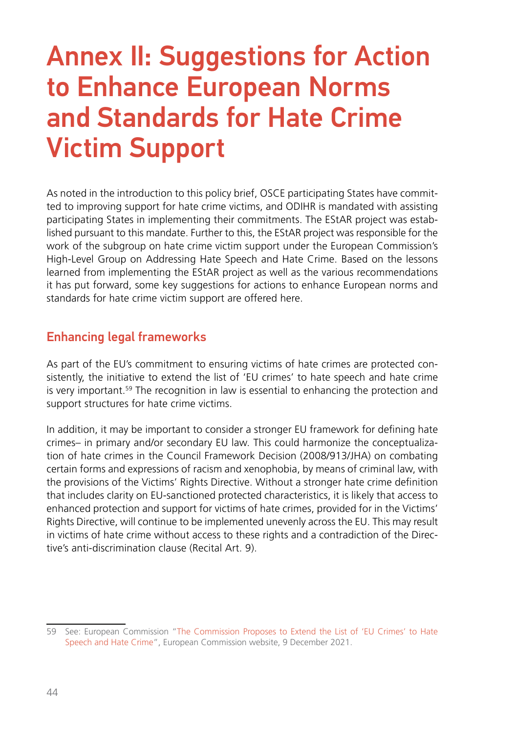## <span id="page-43-0"></span>Annex II: Suggestions for Action to Enhance European Norms and Standards for Hate Crime Victim Support

As noted in the introduction to this policy brief, OSCE participating States have committed to improving support for hate crime victims, and ODIHR is mandated with assisting participating States in implementing their commitments. The EStAR project was established pursuant to this mandate. Further to this, the EStAR project was responsible for the work of the subgroup on hate crime victim support under the European Commission's High-Level Group on Addressing Hate Speech and Hate Crime. Based on the lessons learned from implementing the EStAR project as well as the various recommendations it has put forward, some key suggestions for actions to enhance European norms and standards for hate crime victim support are offered here.

#### Enhancing legal frameworks

As part of the EU's commitment to ensuring victims of hate crimes are protected consistently, the initiative to extend the list of 'EU crimes' to hate speech and hate crime is very important.<sup>59</sup> The recognition in law is essential to enhancing the protection and support structures for hate crime victims.

In addition, it may be important to consider a stronger EU framework for defining hate crimes– in primary and/or secondary EU law. This could harmonize the conceptualization of hate crimes in the Council Framework Decision (2008/913/JHA) on combating certain forms and expressions of racism and xenophobia, by means of criminal law, with the provisions of the Victims' Rights Directive. Without a stronger hate crime definition that includes clarity on EU-sanctioned protected characteristics, it is likely that access to enhanced protection and support for victims of hate crimes, provided for in the Victims' Rights Directive, will continue to be implemented unevenly across the EU. This may result in victims of hate crime without access to these rights and a contradiction of the Directive's anti-discrimination clause (Recital Art. 9).

<sup>59</sup> See: European Commission "[The Commission Proposes to Extend the List of 'EU Crimes' to Hate](https://ec.europa.eu/commission/presscorner/detail/en/IP_21_6561)  [Speech and Hate Crime"](https://ec.europa.eu/commission/presscorner/detail/en/IP_21_6561), European Commission website, 9 December 2021.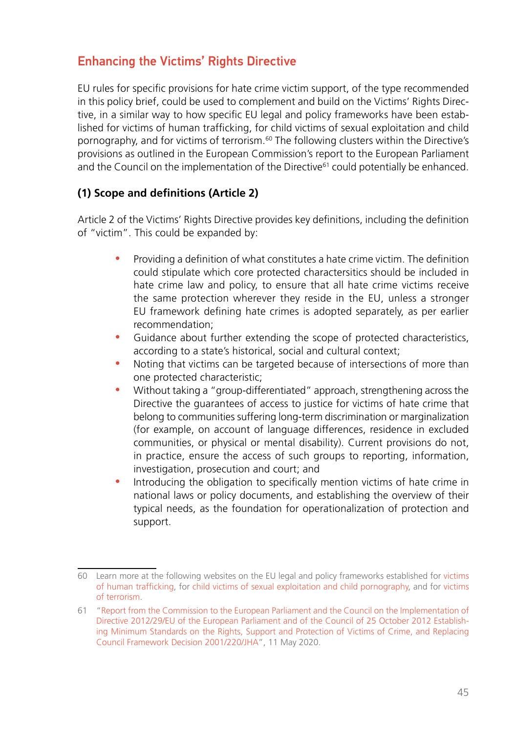#### Enhancing the Victims' Rights Directive

EU rules for specific provisions for hate crime victim support, of the type recommended in this policy brief, could be used to complement and build on the Victims' Rights Directive, in a similar way to how specific EU legal and policy frameworks have been established for victims of human trafficking, for child victims of sexual exploitation and child pornography, and for victims of terrorism.60 The following clusters within the Directive's provisions as outlined in the European Commission's report to the European Parliament and the Council on the implementation of the Directive<sup>61</sup> could potentially be enhanced.

#### **(1) Scope and definitions (Article 2)**

Article 2 of the Victims' Rights Directive provides key definitions, including the definition of "victim". This could be expanded by:

- Providing a definition of what constitutes a hate crime victim. The definition could stipulate which core protected charactersitics should be included in hate crime law and policy, to ensure that all hate crime victims receive the same protection wherever they reside in the EU, unless a stronger EU framework defining hate crimes is adopted separately, as per earlier recommendation;
- Guidance about further extending the scope of protected characteristics, according to a state's historical, social and cultural context;
- Noting that victims can be targeted because of intersections of more than one protected characteristic;
- Without taking a "group-differentiated" approach, strengthening across the Directive the guarantees of access to justice for victims of hate crime that belong to communities suffering long-term discrimination or marginalization (for example, on account of language differences, residence in excluded communities, or physical or mental disability). Current provisions do not, in practice, ensure the access of such groups to reporting, information, investigation, prosecution and court; and
- Introducing the obligation to specifically mention victims of hate crime in national laws or policy documents, and establishing the overview of their typical needs, as the foundation for operationalization of protection and support.

<sup>60</sup> Learn more at the following websites on the EU legal and policy frameworks established for [victims](https://ec.europa.eu/anti-trafficking/index_en) [of human trafficking,](https://ec.europa.eu/anti-trafficking/index_en) for [child victims of sexual exploitation and child pornography,](https://ec.europa.eu/home-affairs/policies/internal-security/child-sexual-abuse_en) and for [victims](https://ec.europa.eu/home-affairs/policies/internal-security/counter-terrorism-and-radicalisation/prevention-radicalisation/victims-terrorism_en) [of terrorism.](https://ec.europa.eu/home-affairs/policies/internal-security/counter-terrorism-and-radicalisation/prevention-radicalisation/victims-terrorism_en)

<sup>61</sup> ["Report from the Commission to the European Parliament and the Council on the Implementation of](https://eur-lex.europa.eu/legal-content/EN/TXT/HTML/?uri=CELEX:52020DC0188&from=EN) [Directive 2012/29/EU of the European Parliament and of the Council of 25 October 2012 Establish](https://eur-lex.europa.eu/legal-content/EN/TXT/HTML/?uri=CELEX:52020DC0188&from=EN)[ing Minimum Standards on the Rights, Support and Protection of Victims of Crime, and Replacing](https://eur-lex.europa.eu/legal-content/EN/TXT/HTML/?uri=CELEX:52020DC0188&from=EN) [Council Framework Decision 2001/220/JHA"](https://eur-lex.europa.eu/legal-content/EN/TXT/HTML/?uri=CELEX:52020DC0188&from=EN), 11 May 2020.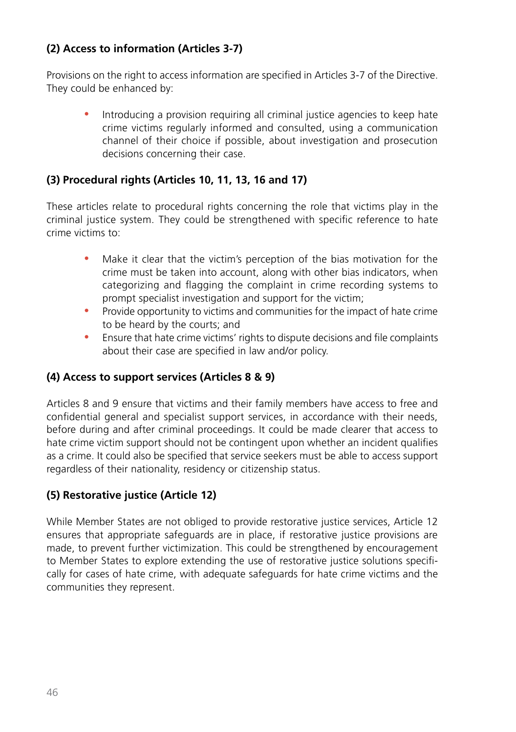#### **(2) Access to information (Articles 3-7)**

Provisions on the right to access information are specified in Articles 3-7 of the Directive. They could be enhanced by:

• Introducing a provision requiring all criminal justice agencies to keep hate crime victims regularly informed and consulted, using a communication channel of their choice if possible, about investigation and prosecution decisions concerning their case.

#### **(3) Procedural rights (Articles 10, 11, 13, 16 and 17)**

These articles relate to procedural rights concerning the role that victims play in the criminal justice system. They could be strengthened with specific reference to hate crime victims to:

- Make it clear that the victim's perception of the bias motivation for the crime must be taken into account, along with other bias indicators, when categorizing and flagging the complaint in crime recording systems to prompt specialist investigation and support for the victim;
- Provide opportunity to victims and communities for the impact of hate crime to be heard by the courts; and
- Ensure that hate crime victims' rights to dispute decisions and file complaints about their case are specified in law and/or policy.

#### **(4) Access to support services (Articles 8 & 9)**

Articles 8 and 9 ensure that victims and their family members have access to free and confidential general and specialist support services, in accordance with their needs, before during and after criminal proceedings. It could be made clearer that access to hate crime victim support should not be contingent upon whether an incident qualifies as a crime. It could also be specified that service seekers must be able to access support regardless of their nationality, residency or citizenship status.

#### **(5) Restorative justice (Article 12)**

While Member States are not obliged to provide restorative justice services, Article 12 ensures that appropriate safeguards are in place, if restorative justice provisions are made, to prevent further victimization. This could be strengthened by encouragement to Member States to explore extending the use of restorative justice solutions specifically for cases of hate crime, with adequate safeguards for hate crime victims and the communities they represent.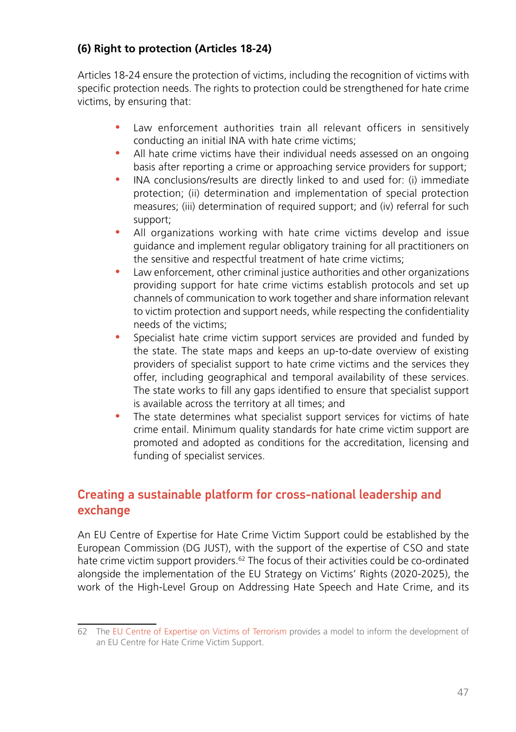#### **(6) Right to protection (Articles 18-24)**

Articles 18-24 ensure the protection of victims, including the recognition of victims with specific protection needs. The rights to protection could be strengthened for hate crime victims, by ensuring that:

- Law enforcement authorities train all relevant officers in sensitively conducting an initial INA with hate crime victims;
- All hate crime victims have their individual needs assessed on an ongoing basis after reporting a crime or approaching service providers for support;
- INA conclusions/results are directly linked to and used for: (i) immediate protection; (ii) determination and implementation of special protection measures; (iii) determination of required support; and (iv) referral for such support;
- All organizations working with hate crime victims develop and issue guidance and implement regular obligatory training for all practitioners on the sensitive and respectful treatment of hate crime victims;
- Law enforcement, other criminal justice authorities and other organizations providing support for hate crime victims establish protocols and set up channels of communication to work together and share information relevant to victim protection and support needs, while respecting the confidentiality needs of the victims;
- Specialist hate crime victim support services are provided and funded by the state. The state maps and keeps an up-to-date overview of existing providers of specialist support to hate crime victims and the services they offer, including geographical and temporal availability of these services. The state works to fill any gaps identified to ensure that specialist support is available across the territory at all times; and
- The state determines what specialist support services for victims of hate crime entail. Minimum quality standards for hate crime victim support are promoted and adopted as conditions for the accreditation, licensing and funding of specialist services.

#### Creating a sustainable platform for cross-national leadership and exchange

An EU Centre of Expertise for Hate Crime Victim Support could be established by the European Commission (DG JUST), with the support of the expertise of CSO and state hate crime victim support providers.<sup>62</sup> The focus of their activities could be co-ordinated alongside the implementation of the EU Strategy on Victims' Rights (2020-2025), the work of the High-Level Group on Addressing Hate Speech and Hate Crime, and its

<sup>62</sup> The [EU Centre of Expertise on Victims of Terrorism](https://ec.europa.eu/info/policies/justice-and-fundamental-rights/criminal-justice/protecting-victims-rights/eu-centre-expertise-victims-terrorism_en) provides a model to inform the development of an EU Centre for Hate Crime Victim Support.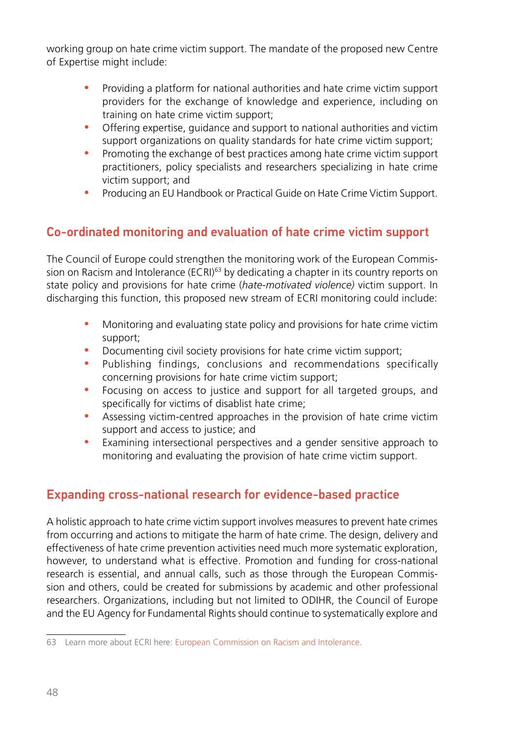working group on hate crime victim support. The mandate of the proposed new Centre of Expertise might include:

- Providing a platform for national authorities and hate crime victim support providers for the exchange of knowledge and experience, including on training on hate crime victim support;
- Offering expertise, guidance and support to national authorities and victim support organizations on quality standards for hate crime victim support;
- Promoting the exchange of best practices among hate crime victim support practitioners, policy specialists and researchers specializing in hate crime victim support; and
- Producing an EU Handbook or Practical Guide on Hate Crime Victim Support.

#### Co-ordinated monitoring and evaluation of hate crime victim support

The Council of Europe could strengthen the monitoring work of the European Commission on Racism and Intolerance (ECRI)<sup>63</sup> by dedicating a chapter in its country reports on state policy and provisions for hate crime (*hate-motivated violence)* victim support. In discharging this function, this proposed new stream of ECRI monitoring could include:

- Monitoring and evaluating state policy and provisions for hate crime victim support;
- Documenting civil society provisions for hate crime victim support;
- Publishing findings, conclusions and recommendations specifically concerning provisions for hate crime victim support;
- Focusing on access to justice and support for all targeted groups, and specifically for victims of disablist hate crime;
- Assessing victim-centred approaches in the provision of hate crime victim support and access to justice; and
- Examining intersectional perspectives and a gender sensitive approach to monitoring and evaluating the provision of hate crime victim support.

#### Expanding cross-national research for evidence-based practice

A holistic approach to hate crime victim support involves measures to prevent hate crimes from occurring and actions to mitigate the harm of hate crime. The design, delivery and effectiveness of hate crime prevention activities need much more systematic exploration, however, to understand what is effective. Promotion and funding for cross-national research is essential, and annual calls, such as those through the European Commission and others, could be created for submissions by academic and other professional researchers. Organizations, including but not limited to ODIHR, the Council of Europe and the EU Agency for Fundamental Rights should continue to systematically explore and

<sup>63</sup> Learn more about ECRI here: [European Commission on Racism and Intolerance](https://www.coe.int/en/web/european-commission-against-racism-and-intolerance/home).